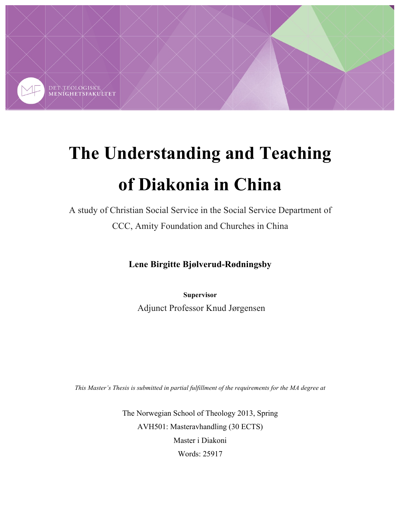

# **The Understanding and Teaching of Diakonia in China**

A study of Christian Social Service in the Social Service Department of CCC, Amity Foundation and Churches in China

**Lene Birgitte Bjølverud-Rødningsby**

**Supervisor**

Adjunct Professor Knud Jørgensen

*This Master's Thesis is submitted in partial fulfillment of the requirements for the MA degree at*

The Norwegian School of Theology 2013, Spring AVH501: Masteravhandling (30 ECTS) Master i Diakoni Words: 25917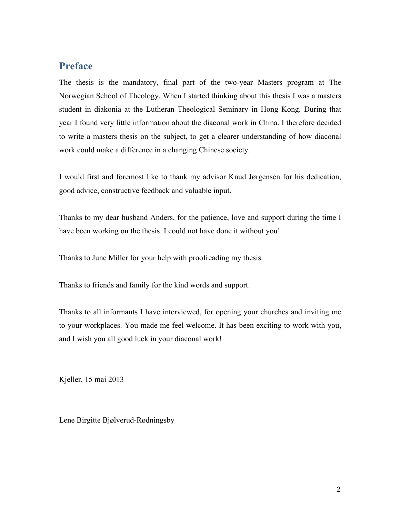# **Preface**

The thesis is the mandatory, final part of the two-year Masters program at The Norwegian School of Theology. When I started thinking about this thesis I was a masters student in diakonia at the Lutheran Theological Seminary in Hong Kong. During that year I found very little information about the diaconal work in China. I therefore decided to write a masters thesis on the subject, to get a clearer understanding of how diaconal work could make a difference in a changing Chinese society.

I would first and foremost like to thank my advisor Knud Jørgensen for his dedication, good advice, constructive feedback and valuable input.

Thanks to my dear husband Anders, for the patience, love and support during the time I have been working on the thesis. I could not have done it without you!

Thanks to June Miller for your help with proofreading my thesis.

Thanks to friends and family for the kind words and support.

Thanks to all informants I have interviewed, for opening your churches and inviting me to your workplaces. You made me feel welcome. It has been exciting to work with you, and I wish you all good luck in your diaconal work!

Kjeller, 15 mai 2013

Lene Birgitte Bjølverud-Rødningsby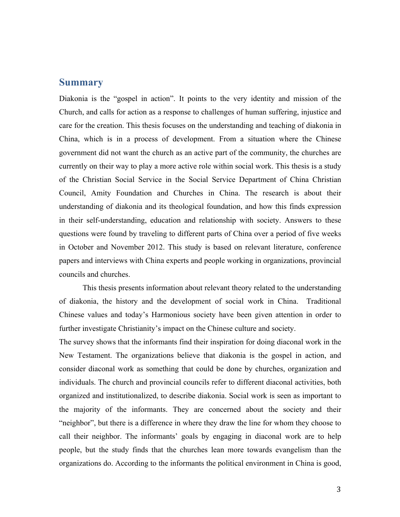# **Summary**

Diakonia is the "gospel in action". It points to the very identity and mission of the Church, and calls for action as a response to challenges of human suffering, injustice and care for the creation. This thesis focuses on the understanding and teaching of diakonia in China, which is in a process of development. From a situation where the Chinese government did not want the church as an active part of the community, the churches are currently on their way to play a more active role within social work. This thesis is a study of the Christian Social Service in the Social Service Department of China Christian Council, Amity Foundation and Churches in China. The research is about their understanding of diakonia and its theological foundation, and how this finds expression in their self-understanding, education and relationship with society. Answers to these questions were found by traveling to different parts of China over a period of five weeks in October and November 2012. This study is based on relevant literature, conference papers and interviews with China experts and people working in organizations, provincial councils and churches.

This thesis presents information about relevant theory related to the understanding of diakonia, the history and the development of social work in China. Traditional Chinese values and today's Harmonious society have been given attention in order to further investigate Christianity's impact on the Chinese culture and society.

The survey shows that the informants find their inspiration for doing diaconal work in the New Testament. The organizations believe that diakonia is the gospel in action, and consider diaconal work as something that could be done by churches, organization and individuals. The church and provincial councils refer to different diaconal activities, both organized and institutionalized, to describe diakonia. Social work is seen as important to the majority of the informants. They are concerned about the society and their "neighbor", but there is a difference in where they draw the line for whom they choose to call their neighbor. The informants' goals by engaging in diaconal work are to help people, but the study finds that the churches lean more towards evangelism than the organizations do. According to the informants the political environment in China is good,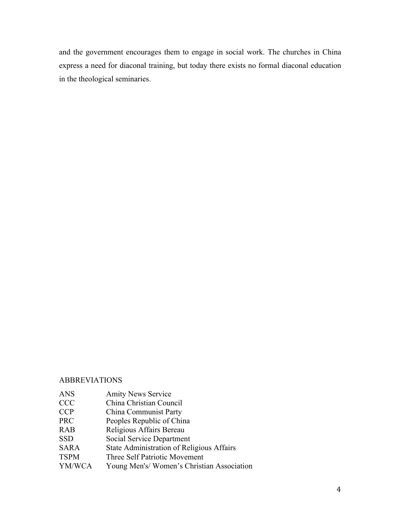and the government encourages them to engage in social work. The churches in China express a need for diaconal training, but today there exists no formal diaconal education in the theological seminaries.

#### ABBREVIATIONS

- ANS Amity News Service
- CCC China Christian Council
- CCP China Communist Party
- PRC Peoples Republic of China
- RAB Religious Affairs Bereau
- SSD Social Service Department
- SARA State Administration of Religious Affairs
- TSPM Three Self Patriotic Movement
- YM/WCA Young Men's/ Women's Christian Association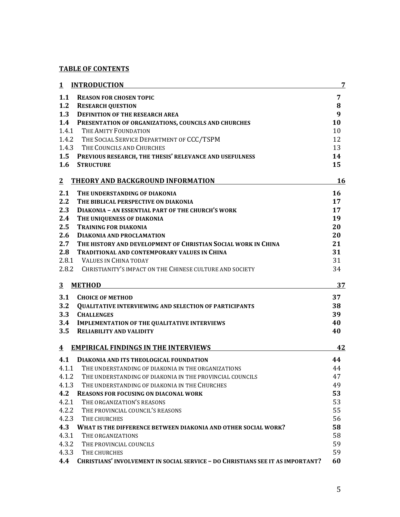# **TABLE OF CONTENTS**

| 1             | <b>INTRODUCTION</b>                                                                   | 7  |
|---------------|---------------------------------------------------------------------------------------|----|
| 1.1           | <b>REASON FOR CHOSEN TOPIC</b>                                                        | 7  |
| 1.2           | <b>RESEARCH QUESTION</b>                                                              | 8  |
| 1.3           | <b>DEFINITION OF THE RESEARCH AREA</b>                                                | 9  |
| 1.4           | PRESENTATION OF ORGANIZATIONS, COUNCILS AND CHURCHES                                  | 10 |
| 1.4.1         | THE AMITY FOUNDATION                                                                  | 10 |
|               | 1.4.2 THE SOCIAL SERVICE DEPARTMENT OF CCC/TSPM                                       | 12 |
| 1.4.3         | THE COUNCILS AND CHURCHES                                                             | 13 |
|               | 1.5 PREVIOUS RESEARCH, THE THESIS' RELEVANCE AND USEFULNESS                           | 14 |
| 1.6           | <b>STRUCTURE</b>                                                                      | 15 |
| $\mathbf{2}$  | THEORY AND BACKGROUND INFORMATION                                                     | 16 |
| 2.1           | THE UNDERSTANDING OF DIAKONIA                                                         | 16 |
| $2.2^{\circ}$ | THE BIBLICAL PERSPECTIVE ON DIAKONIA                                                  | 17 |
| 2.3           | DIAKONIA - AN ESSENTIAL PART OF THE CHURCH'S WORK                                     | 17 |
| 2.4           | THE UNIQUENESS OF DIAKONIA                                                            | 19 |
| 2.5           | <b>TRAINING FOR DIAKONIA</b>                                                          | 20 |
| 2.6           | <b>DIAKONIA AND PROCLAMATION</b>                                                      | 20 |
| 2.7           | THE HISTORY AND DEVELOPMENT OF CHRISTIAN SOCIAL WORK IN CHINA                         | 21 |
| 2.8           | <b>TRADITIONAL AND CONTEMPORARY VALUES IN CHINA</b>                                   | 31 |
|               | 2.8.1 VALUES IN CHINA TODAY                                                           | 31 |
|               | 2.8.2 CHRISTIANITY'S IMPACT ON THE CHINESE CULTURE AND SOCIETY                        | 34 |
| 3             | <b>METHOD</b>                                                                         | 37 |
| 3.1           | <b>CHOICE OF METHOD</b>                                                               | 37 |
| 3.2           | <b>QUALITATIVE INTERVIEWING AND SELECTION OF PARTICIPANTS</b>                         | 38 |
| 3.3           | <b>CHALLENGES</b>                                                                     | 39 |
| 3.4           | <b>IMPLEMENTATION OF THE QUALITATIVE INTERVIEWS</b>                                   | 40 |
| 3.5           | <b>RELIABILITY AND VALIDITY</b>                                                       | 40 |
| 4             | <b>EMPIRICAL FINDINGS IN THE INTERVIEWS</b>                                           | 42 |
| 4.1           | <b>DIAKONIA AND ITS THEOLOGICAL FOUNDATION</b>                                        | 44 |
| 4.1.1         | THE UNDERSTANDING OF DIAKONIA IN THE ORGANIZATIONS                                    | 44 |
| 4.1.2         | THE UNDERSTANDING OF DIAKONIA IN THE PROVINCIAL COUNCILS                              | 47 |
| 4.1.3         | THE UNDERSTANDING OF DIAKONIA IN THE CHURCHES                                         | 49 |
| 4.2           | <b>REASONS FOR FOCUSING ON DIACONAL WORK</b>                                          | 53 |
| 4.2.1         | THE ORGANIZATION'S REASONS                                                            | 53 |
| 4.2.2         | THE PROVINCIAL COUNCIL'S REASONS                                                      | 55 |
| 4.2.3         | THE CHURCHES                                                                          | 56 |
| 4.3           | WHAT IS THE DIFFERENCE BETWEEN DIAKONIA AND OTHER SOCIAL WORK?                        | 58 |
| 4.3.1         | THE ORGANIZATIONS                                                                     | 58 |
| 4.3.2         | THE PROVINCIAL COUNCILS                                                               | 59 |
| 4.3.3         | THE CHURCHES                                                                          | 59 |
| 4.4           | <b>CHRISTIANS' INVOLVEMENT IN SOCIAL SERVICE - DO CHRISTIANS SEE IT AS IMPORTANT?</b> | 60 |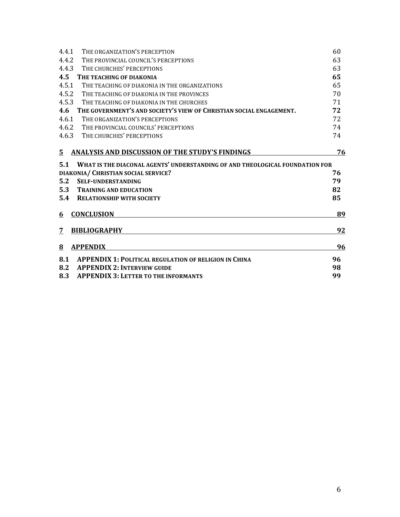| 4.4.1 | THE ORGANIZATION'S PERCEPTION                                                | 60 |  |
|-------|------------------------------------------------------------------------------|----|--|
| 4.4.2 | THE PROVINCIAL COUNCIL'S PERCEPTIONS                                         |    |  |
| 4.4.3 | THE CHURCHES' PERCEPTIONS                                                    |    |  |
| 4.5   | THE TEACHING OF DIAKONIA                                                     | 65 |  |
| 4.5.1 | THE TEACHING OF DIAKONIA IN THE ORGANIZATIONS                                | 65 |  |
| 4.5.2 | THE TEACHING OF DIAKONIA IN THE PROVINCES                                    | 70 |  |
| 4.5.3 | THE TEACHING OF DIAKONIA IN THE CHURCHES                                     | 71 |  |
| 4.6   | THE GOVERNMENT'S AND SOCIETY'S VIEW OF CHRISTIAN SOCIAL ENGAGEMENT.          | 72 |  |
| 4.6.1 | THE ORGANIZATION'S PERCEPTIONS                                               | 72 |  |
| 4.6.2 | THE PROVINCIAL COUNCILS' PERCEPTIONS                                         | 74 |  |
| 4.6.3 | THE CHURCHES' PERCEPTIONS                                                    | 74 |  |
| 5.    | <b>ANALYSIS AND DISCUSSION OF THE STUDY'S FINDINGS</b>                       | 76 |  |
| 5.1   | WHAT IS THE DIACONAL AGENTS' UNDERSTANDING OF AND THEOLOGICAL FOUNDATION FOR |    |  |
|       | DIAKONIA/ CHRISTIAN SOCIAL SERVICE?                                          | 76 |  |
| 5.2   | <b>SELF-UNDERSTANDING</b>                                                    | 79 |  |
| 5.3   | <b>TRAINING AND EDUCATION</b>                                                | 82 |  |
| 5.4   | <b>RELATIONSHIP WITH SOCIETY</b>                                             | 85 |  |
| 6     | <b>CONCLUSION</b>                                                            | 89 |  |
| 7     | <b>BIBLIOGRAPHY</b>                                                          | 92 |  |
| 8     | <b>APPENDIX</b>                                                              | 96 |  |
| 8.1   | <b>APPENDIX 1: POLITICAL REGULATION OF RELIGION IN CHINA</b>                 | 96 |  |
| 8.2   | <b>APPENDIX 2: INTERVIEW GUIDE</b>                                           | 98 |  |
| 8.3   | <b>APPENDIX 3: LETTER TO THE INFORMANTS</b>                                  | 99 |  |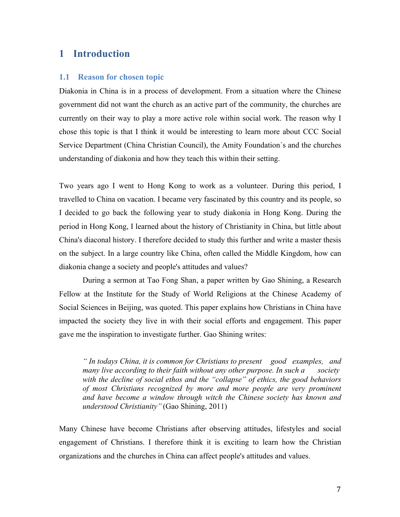# **1 Introduction**

#### **1.1 Reason for chosen topic**

Diakonia in China is in a process of development. From a situation where the Chinese government did not want the church as an active part of the community, the churches are currently on their way to play a more active role within social work. The reason why I chose this topic is that I think it would be interesting to learn more about CCC Social Service Department (China Christian Council), the Amity Foundation´s and the churches understanding of diakonia and how they teach this within their setting.

Two years ago I went to Hong Kong to work as a volunteer. During this period, I travelled to China on vacation. I became very fascinated by this country and its people, so I decided to go back the following year to study diakonia in Hong Kong. During the period in Hong Kong, I learned about the history of Christianity in China, but little about China's diaconal history. I therefore decided to study this further and write a master thesis on the subject. In a large country like China, often called the Middle Kingdom, how can diakonia change a society and people's attitudes and values?

During a sermon at Tao Fong Shan, a paper written by Gao Shining, a Research Fellow at the Institute for the Study of World Religions at the Chinese Academy of Social Sciences in Beijing, was quoted. This paper explains how Christians in China have impacted the society they live in with their social efforts and engagement. This paper gave me the inspiration to investigate further. Gao Shining writes:

*" In todays China, it is common for Christians to present good examples, and many live according to their faith without any other purpose. In such a society with the decline of social ethos and the "collapse" of ethics, the good behaviors of most Christians recognized by more and more people are very prominent and have become a window through witch the Chinese society has known and understood Christianity"* (Gao Shining, 2011)

Many Chinese have become Christians after observing attitudes, lifestyles and social engagement of Christians. I therefore think it is exciting to learn how the Christian organizations and the churches in China can affect people's attitudes and values.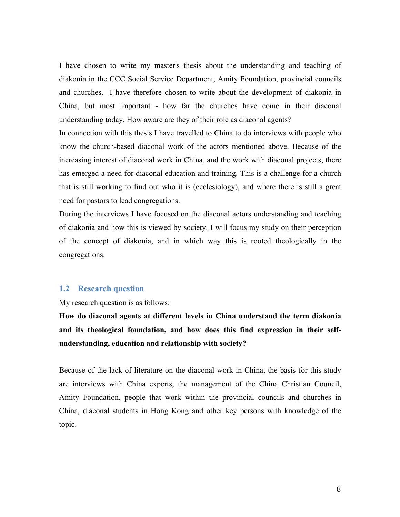I have chosen to write my master's thesis about the understanding and teaching of diakonia in the CCC Social Service Department, Amity Foundation, provincial councils and churches. I have therefore chosen to write about the development of diakonia in China, but most important - how far the churches have come in their diaconal understanding today. How aware are they of their role as diaconal agents?

In connection with this thesis I have travelled to China to do interviews with people who know the church-based diaconal work of the actors mentioned above. Because of the increasing interest of diaconal work in China, and the work with diaconal projects, there has emerged a need for diaconal education and training. This is a challenge for a church that is still working to find out who it is (ecclesiology), and where there is still a great need for pastors to lead congregations.

During the interviews I have focused on the diaconal actors understanding and teaching of diakonia and how this is viewed by society. I will focus my study on their perception of the concept of diakonia, and in which way this is rooted theologically in the congregations.

#### **1.2 Research question**

My research question is as follows:

**How do diaconal agents at different levels in China understand the term diakonia and its theological foundation, and how does this find expression in their selfunderstanding, education and relationship with society?**

Because of the lack of literature on the diaconal work in China, the basis for this study are interviews with China experts, the management of the China Christian Council, Amity Foundation, people that work within the provincial councils and churches in China, diaconal students in Hong Kong and other key persons with knowledge of the topic.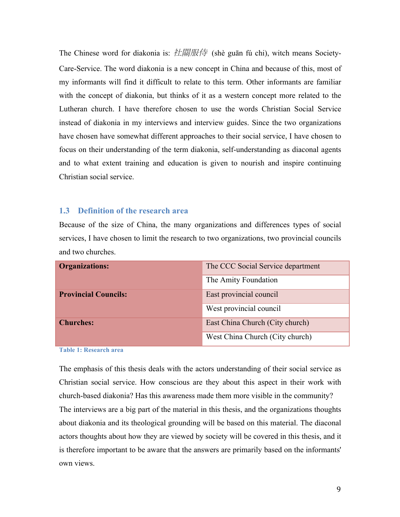The Chinese word for diakonia is: 社關服侍 (shè guān fú chi), witch means Society-Care-Service. The word diakonia is a new concept in China and because of this, most of my informants will find it difficult to relate to this term. Other informants are familiar with the concept of diakonia, but thinks of it as a western concept more related to the Lutheran church. I have therefore chosen to use the words Christian Social Service instead of diakonia in my interviews and interview guides. Since the two organizations have chosen have somewhat different approaches to their social service, I have chosen to focus on their understanding of the term diakonia, self-understanding as diaconal agents and to what extent training and education is given to nourish and inspire continuing Christian social service.

#### **1.3 Definition of the research area**

Because of the size of China, the many organizations and differences types of social services, I have chosen to limit the research to two organizations, two provincial councils and two churches.

| <b>Organizations:</b>       | The CCC Social Service department |
|-----------------------------|-----------------------------------|
|                             | The Amity Foundation              |
| <b>Provincial Councils:</b> | East provincial council           |
|                             | West provincial council           |
| <b>Churches:</b>            | East China Church (City church)   |
|                             | West China Church (City church)   |

**Table 1: Research area**

The emphasis of this thesis deals with the actors understanding of their social service as Christian social service. How conscious are they about this aspect in their work with church-based diakonia? Has this awareness made them more visible in the community? The interviews are a big part of the material in this thesis, and the organizations thoughts about diakonia and its theological grounding will be based on this material. The diaconal actors thoughts about how they are viewed by society will be covered in this thesis, and it is therefore important to be aware that the answers are primarily based on the informants' own views.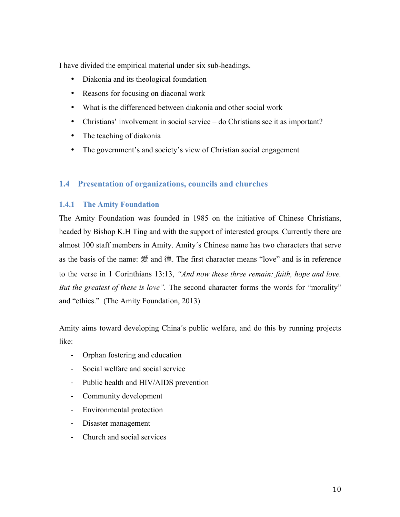I have divided the empirical material under six sub-headings.

- Diakonia and its theological foundation
- Reasons for focusing on diaconal work
- What is the differenced between diakonia and other social work
- Christians' involvement in social service do Christians see it as important?
- The teaching of diakonia
- The government's and society's view of Christian social engagement

# **1.4 Presentation of organizations, councils and churches**

## **1.4.1 The Amity Foundation**

The Amity Foundation was founded in 1985 on the initiative of Chinese Christians, headed by Bishop K.H Ting and with the support of interested groups. Currently there are almost 100 staff members in Amity. Amity´s Chinese name has two characters that serve as the basis of the name: 爱 and 德. The first character means "love" and is in reference to the verse in 1 Corinthians 13:13, *"And now these three remain: faith, hope and love. But the greatest of these is love".* The second character forms the words for "morality" and "ethics." (The Amity Foundation, 2013)

Amity aims toward developing China´s public welfare, and do this by running projects like:

- Orphan fostering and education
- Social welfare and social service
- Public health and HIV/AIDS prevention
- Community development
- Environmental protection
- Disaster management
- Church and social services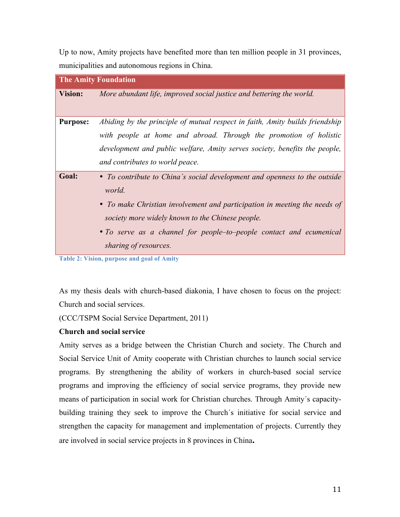Up to now, Amity projects have benefited more than ten million people in 31 provinces, municipalities and autonomous regions in China.

| <b>The Amity Foundation</b> |                                                                                                                                                                                                                                                                                                                      |  |
|-----------------------------|----------------------------------------------------------------------------------------------------------------------------------------------------------------------------------------------------------------------------------------------------------------------------------------------------------------------|--|
| <b>Vision:</b>              | More abundant life, improved social justice and bettering the world.                                                                                                                                                                                                                                                 |  |
| <b>Purpose:</b>             | Abiding by the principle of mutual respect in faith, Amity builds friendship<br>with people at home and abroad. Through the promotion of holistic<br>development and public welfare, Amity serves society, benefits the people,<br>and contributes to world peace.                                                   |  |
| Goal:                       | • To contribute to China's social development and openness to the outside<br>world.<br>• To make Christian involvement and participation in meeting the needs of<br>society more widely known to the Chinese people.<br>• To serve as a channel for people-to-people contact and ecumenical<br>sharing of resources. |  |

**Table 2: Vision, purpose and goal of Amity** 

As my thesis deals with church-based diakonia, I have chosen to focus on the project: Church and social services.

(CCC/TSPM Social Service Department, 2011)

#### **Church and social service**

Amity serves as a bridge between the Christian Church and society. The Church and Social Service Unit of Amity cooperate with Christian churches to launch social service programs. By strengthening the ability of workers in church-based social service programs and improving the efficiency of social service programs, they provide new means of participation in social work for Christian churches. Through Amity´s capacitybuilding training they seek to improve the Church´s initiative for social service and strengthen the capacity for management and implementation of projects. Currently they are involved in social service projects in 8 provinces in China**.**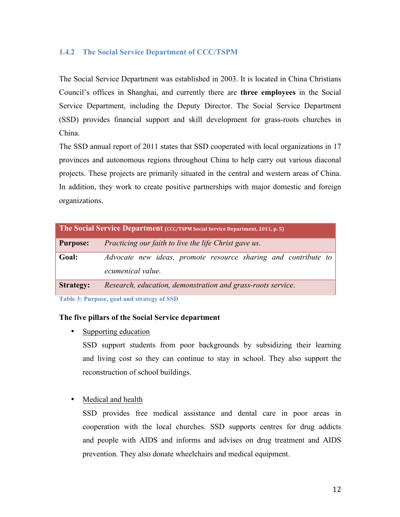## **1.4.2 The Social Service Department of CCC/TSPM**

The Social Service Department was established in 2003. It is located in China Christians Council's offices in Shanghai, and currently there are **three employees** in the Social Service Department, including the Deputy Director. The Social Service Department (SSD) provides financial support and skill development for grass-roots churches in China.

The SSD annual report of 2011 states that SSD cooperated with local organizations in 17 provinces and autonomous regions throughout China to help carry out various diaconal projects. These projects are primarily situated in the central and western areas of China. In addition, they work to create positive partnerships with major domestic and foreign organizations.

| The Social Service Department (CCC/TSPM Social Service Department, 2011, p. 5) |                                                                                     |  |  |  |
|--------------------------------------------------------------------------------|-------------------------------------------------------------------------------------|--|--|--|
| <b>Purpose:</b>                                                                | Practicing our faith to live the life Christ gave us.                               |  |  |  |
| Goal:                                                                          | Advocate new ideas, promote resource sharing and contribute to<br>ecumenical value. |  |  |  |
| <b>Strategy:</b>                                                               | Research, education, demonstration and grass-roots service.                         |  |  |  |

**Table 3: Purpose, goal and strategy of SSD**

#### **The five pillars of the Social Service department**

• Supporting education

SSD support students from poor backgrounds by subsidizing their learning and living cost so they can continue to stay in school. They also support the reconstruction of school buildings.

#### • Medical and health

SSD provides free medical assistance and dental care in poor areas in cooperation with the local churches. SSD supports centres for drug addicts and people with AIDS and informs and advises on drug treatment and AIDS prevention. They also donate wheelchairs and medical equipment.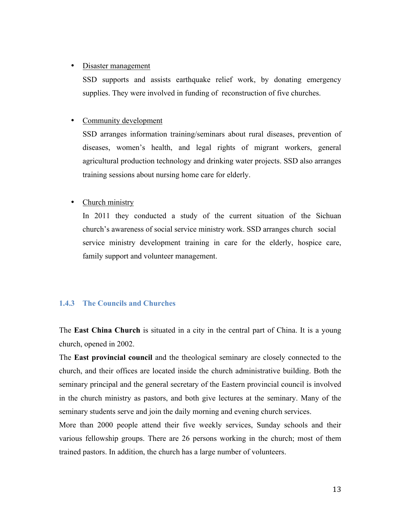#### • Disaster management

SSD supports and assists earthquake relief work, by donating emergency supplies. They were involved in funding of reconstruction of five churches.

#### • Community development

SSD arranges information training/seminars about rural diseases, prevention of diseases, women's health, and legal rights of migrant workers, general agricultural production technology and drinking water projects. SSD also arranges training sessions about nursing home care for elderly.

#### • Church ministry

In 2011 they conducted a study of the current situation of the Sichuan church's awareness of social service ministry work. SSD arranges church social service ministry development training in care for the elderly, hospice care, family support and volunteer management.

#### **1.4.3 The Councils and Churches**

The **East China Church** is situated in a city in the central part of China. It is a young church, opened in 2002.

The **East provincial council** and the theological seminary are closely connected to the church, and their offices are located inside the church administrative building. Both the seminary principal and the general secretary of the Eastern provincial council is involved in the church ministry as pastors, and both give lectures at the seminary. Many of the seminary students serve and join the daily morning and evening church services.

More than 2000 people attend their five weekly services, Sunday schools and their various fellowship groups. There are 26 persons working in the church; most of them trained pastors. In addition, the church has a large number of volunteers.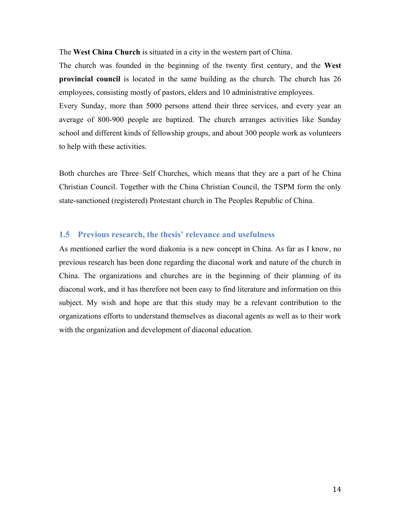The **West China Church** is situated in a city in the western part of China.

The church was founded in the beginning of the twenty first century, and the **West provincial council** is located in the same building as the church. The church has 26 employees, consisting mostly of pastors, elders and 10 administrative employees.

Every Sunday, more than 5000 persons attend their three services, and every year an average of 800-900 people are baptized. The church arranges activities like Sunday school and different kinds of fellowship groups, and about 300 people work as volunteers to help with these activities.

Both churches are Three–Self Churches, which means that they are a part of he China Christian Council. Together with the China Christian Council, the TSPM form the only state-sanctioned (registered) Protestant church in The Peoples Republic of China.

#### **1.5 Previous research, the thesis' relevance and usefulness**

As mentioned earlier the word diakonia is a new concept in China. As far as I know, no previous research has been done regarding the diaconal work and nature of the church in China. The organizations and churches are in the beginning of their planning of its diaconal work, and it has therefore not been easy to find literature and information on this subject. My wish and hope are that this study may be a relevant contribution to the organizations efforts to understand themselves as diaconal agents as well as to their work with the organization and development of diaconal education.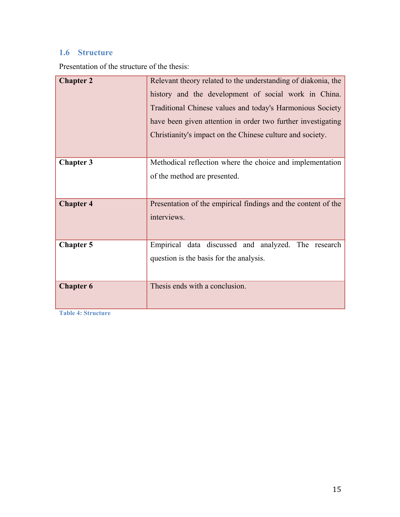# **1.6 Structure**

Presentation of the structure of the thesis:

| <b>Chapter 2</b> | Relevant theory related to the understanding of diakonia, the<br>history and the development of social work in China.<br>Traditional Chinese values and today's Harmonious Society<br>have been given attention in order two further investigating<br>Christianity's impact on the Chinese culture and society. |
|------------------|-----------------------------------------------------------------------------------------------------------------------------------------------------------------------------------------------------------------------------------------------------------------------------------------------------------------|
| <b>Chapter 3</b> | Methodical reflection where the choice and implementation<br>of the method are presented.                                                                                                                                                                                                                       |
| <b>Chapter 4</b> | Presentation of the empirical findings and the content of the<br>interviews.                                                                                                                                                                                                                                    |
| <b>Chapter 5</b> | Empirical data discussed and analyzed. The research<br>question is the basis for the analysis.                                                                                                                                                                                                                  |
| <b>Chapter 6</b> | Thesis ends with a conclusion.                                                                                                                                                                                                                                                                                  |

**Table 4: Structure**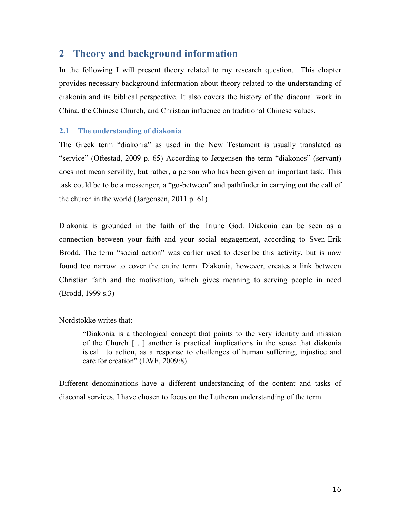# **2 Theory and background information**

In the following I will present theory related to my research question. This chapter provides necessary background information about theory related to the understanding of diakonia and its biblical perspective. It also covers the history of the diaconal work in China, the Chinese Church, and Christian influence on traditional Chinese values.

### **2.1 The understanding of diakonia**

The Greek term "diakonia" as used in the New Testament is usually translated as "service" (Oftestad, 2009 p. 65) According to Jørgensen the term "diakonos" (servant) does not mean servility, but rather, a person who has been given an important task. This task could be to be a messenger, a "go-between" and pathfinder in carrying out the call of the church in the world (Jørgensen, 2011 p. 61)

Diakonia is grounded in the faith of the Triune God. Diakonia can be seen as a connection between your faith and your social engagement, according to Sven-Erik Brodd. The term "social action" was earlier used to describe this activity, but is now found too narrow to cover the entire term. Diakonia, however, creates a link between Christian faith and the motivation, which gives meaning to serving people in need (Brodd, 1999 s.3)

#### Nordstokke writes that:

"Diakonia is a theological concept that points to the very identity and mission of the Church […] another is practical implications in the sense that diakonia is call to action, as a response to challenges of human suffering, injustice and care for creation" (LWF, 2009:8).

Different denominations have a different understanding of the content and tasks of diaconal services. I have chosen to focus on the Lutheran understanding of the term.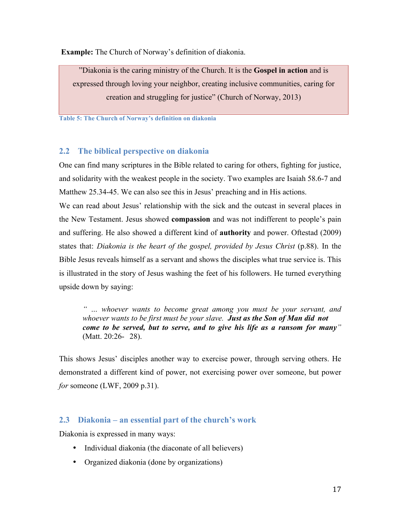**Example:** The Church of Norway's definition of diakonia.

"Diakonia is the caring ministry of the Church. It is the **Gospel in action** and is expressed through loving your neighbor, creating inclusive communities, caring for creation and struggling for justice" (Church of Norway, 2013)

**Table 5: The Church of Norway's definition on diakonia**

## **2.2 The biblical perspective on diakonia**

One can find many scriptures in the Bible related to caring for others, fighting for justice, and solidarity with the weakest people in the society. Two examples are Isaiah 58.6-7 and Matthew 25.34-45. We can also see this in Jesus' preaching and in His actions.

We can read about Jesus' relationship with the sick and the outcast in several places in the New Testament. Jesus showed **compassion** and was not indifferent to people's pain and suffering. He also showed a different kind of **authority** and power. Oftestad (2009) states that: *Diakonia is the heart of the gospel, provided by Jesus Christ* (p.88). In the Bible Jesus reveals himself as a servant and shows the disciples what true service is. This is illustrated in the story of Jesus washing the feet of his followers. He turned everything upside down by saying:

*" … whoever wants to become great among you must be your servant, and whoever wants to be first must be your slave. Just as the Son of Man did not come to be served, but to serve, and to give his life as a ransom for many"* (Matt. 20:26- 28).

This shows Jesus' disciples another way to exercise power, through serving others. He demonstrated a different kind of power, not exercising power over someone, but power *for* someone (LWF, 2009 p.31).

## **2.3 Diakonia – an essential part of the church's work**

Diakonia is expressed in many ways:

- Individual diakonia (the diaconate of all believers)
- Organized diakonia (done by organizations)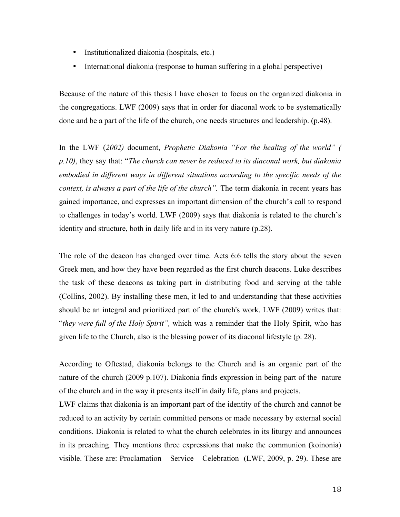- Institutionalized diakonia (hospitals, etc.)
- International diakonia (response to human suffering in a global perspective)

Because of the nature of this thesis I have chosen to focus on the organized diakonia in the congregations. LWF (2009) says that in order for diaconal work to be systematically done and be a part of the life of the church, one needs structures and leadership. (p.48).

In the LWF (*2002)* document, *Prophetic Diakonia "For the healing of the world" ( p.10)*, they say that: "*The church can never be reduced to its diaconal work, but diakonia embodied in different ways in different situations according to the specific needs of the context, is always a part of the life of the church".* The term diakonia in recent years has gained importance, and expresses an important dimension of the church's call to respond to challenges in today's world. LWF (2009) says that diakonia is related to the church's identity and structure, both in daily life and in its very nature (p.28).

The role of the deacon has changed over time. Acts 6:6 tells the story about the seven Greek men, and how they have been regarded as the first church deacons. Luke describes the task of these deacons as taking part in distributing food and serving at the table (Collins, 2002). By installing these men, it led to and understanding that these activities should be an integral and prioritized part of the church's work. LWF (2009) writes that: "*they were full of the Holy Spirit",* which was a reminder that the Holy Spirit, who has given life to the Church, also is the blessing power of its diaconal lifestyle (p. 28).

According to Oftestad, diakonia belongs to the Church and is an organic part of the nature of the church (2009 p.107). Diakonia finds expression in being part of the nature of the church and in the way it presents itself in daily life, plans and projects.

LWF claims that diakonia is an important part of the identity of the church and cannot be reduced to an activity by certain committed persons or made necessary by external social conditions. Diakonia is related to what the church celebrates in its liturgy and announces in its preaching. They mentions three expressions that make the communion (koinonia) visible. These are: Proclamation – Service – Celebration (LWF, 2009, p. 29). These are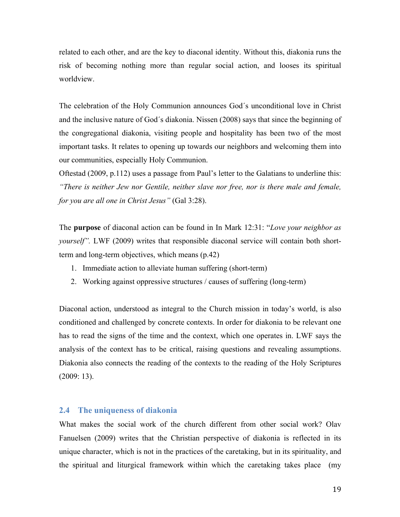related to each other, and are the key to diaconal identity. Without this, diakonia runs the risk of becoming nothing more than regular social action, and looses its spiritual worldview.

The celebration of the Holy Communion announces God´s unconditional love in Christ and the inclusive nature of God´s diakonia. Nissen (2008) says that since the beginning of the congregational diakonia, visiting people and hospitality has been two of the most important tasks. It relates to opening up towards our neighbors and welcoming them into our communities, especially Holy Communion.

Oftestad (2009, p.112) uses a passage from Paul's letter to the Galatians to underline this: *"There is neither Jew nor Gentile, neither slave nor free, nor is there male and female, for you are all one in Christ Jesus"* (Gal 3:28).

The **purpose** of diaconal action can be found in In Mark 12:31: "*Love your neighbor as yourself".* LWF (2009) writes that responsible diaconal service will contain both shortterm and long-term objectives, which means (p.42)

- 1. Immediate action to alleviate human suffering (short-term)
- 2. Working against oppressive structures / causes of suffering (long-term)

Diaconal action, understood as integral to the Church mission in today's world, is also conditioned and challenged by concrete contexts. In order for diakonia to be relevant one has to read the signs of the time and the context, which one operates in. LWF says the analysis of the context has to be critical, raising questions and revealing assumptions. Diakonia also connects the reading of the contexts to the reading of the Holy Scriptures (2009: 13).

#### **2.4 The uniqueness of diakonia**

What makes the social work of the church different from other social work? Olav Fanuelsen (2009) writes that the Christian perspective of diakonia is reflected in its unique character, which is not in the practices of the caretaking, but in its spirituality, and the spiritual and liturgical framework within which the caretaking takes place (my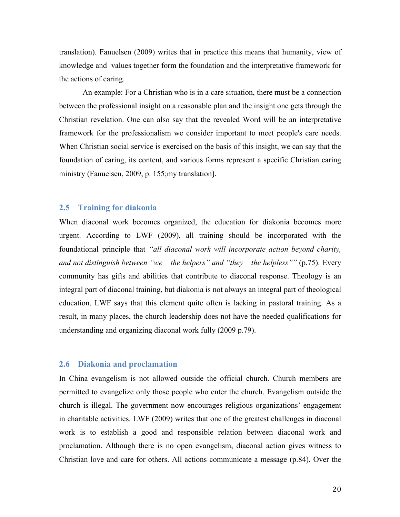translation). Fanuelsen (2009) writes that in practice this means that humanity, view of knowledge and values together form the foundation and the interpretative framework for the actions of caring.

 An example: For a Christian who is in a care situation, there must be a connection between the professional insight on a reasonable plan and the insight one gets through the Christian revelation. One can also say that the revealed Word will be an interpretative framework for the professionalism we consider important to meet people's care needs. When Christian social service is exercised on the basis of this insight, we can say that the foundation of caring, its content, and various forms represent a specific Christian caring ministry (Fanuelsen, 2009, p. 155;my translation).

#### **2.5 Training for diakonia**

When diaconal work becomes organized, the education for diakonia becomes more urgent. According to LWF (2009), all training should be incorporated with the foundational principle that *"all diaconal work will incorporate action beyond charity, and not distinguish between "we – the helpers" and "they – the helpless""* (p.75). Every community has gifts and abilities that contribute to diaconal response. Theology is an integral part of diaconal training, but diakonia is not always an integral part of theological education. LWF says that this element quite often is lacking in pastoral training. As a result, in many places, the church leadership does not have the needed qualifications for understanding and organizing diaconal work fully (2009 p.79).

#### **2.6 Diakonia and proclamation**

In China evangelism is not allowed outside the official church. Church members are permitted to evangelize only those people who enter the church. Evangelism outside the church is illegal. The government now encourages religious organizations' engagement in charitable activities. LWF (2009) writes that one of the greatest challenges in diaconal work is to establish a good and responsible relation between diaconal work and proclamation. Although there is no open evangelism, diaconal action gives witness to Christian love and care for others. All actions communicate a message (p.84). Over the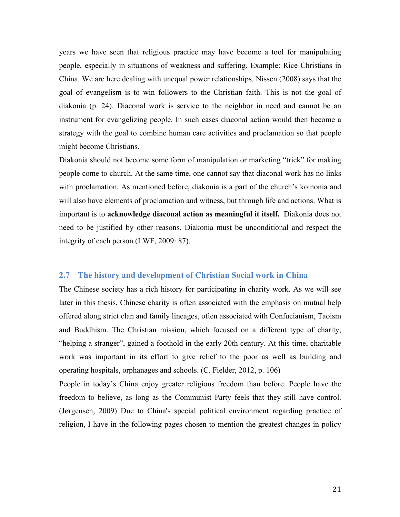years we have seen that religious practice may have become a tool for manipulating people, especially in situations of weakness and suffering. Example: Rice Christians in China. We are here dealing with unequal power relationships. Nissen (2008) says that the goal of evangelism is to win followers to the Christian faith. This is not the goal of diakonia (p. 24). Diaconal work is service to the neighbor in need and cannot be an instrument for evangelizing people. In such cases diaconal action would then become a strategy with the goal to combine human care activities and proclamation so that people might become Christians.

Diakonia should not become some form of manipulation or marketing "trick" for making people come to church. At the same time, one cannot say that diaconal work has no links with proclamation. As mentioned before, diakonia is a part of the church's koinonia and will also have elements of proclamation and witness, but through life and actions. What is important is to **acknowledge diaconal action as meaningful it itself.** Diakonia does not need to be justified by other reasons. Diakonia must be unconditional and respect the integrity of each person (LWF, 2009: 87).

#### **2.7 The history and development of Christian Social work in China**

The Chinese society has a rich history for participating in charity work. As we will see later in this thesis, Chinese charity is often associated with the emphasis on mutual help offered along strict clan and family lineages, often associated with Confucianism, Taoism and Buddhism. The Christian mission, which focused on a different type of charity, "helping a stranger", gained a foothold in the early 20th century. At this time, charitable work was important in its effort to give relief to the poor as well as building and operating hospitals, orphanages and schools. (C. Fielder, 2012, p. 106)

People in today's China enjoy greater religious freedom than before. People have the freedom to believe, as long as the Communist Party feels that they still have control. (Jørgensen, 2009) Due to China's special political environment regarding practice of religion, I have in the following pages chosen to mention the greatest changes in policy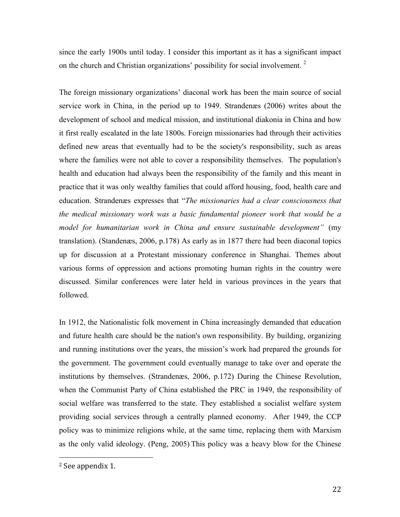since the early 1900s until today. I consider this important as it has a significant impact on the church and Christian organizations' possibility for social involvement.<sup>2</sup>

The foreign missionary organizations' diaconal work has been the main source of social service work in China, in the period up to 1949. Strandenæs (2006) writes about the development of school and medical mission, and institutional diakonia in China and how it first really escalated in the late 1800s. Foreign missionaries had through their activities defined new areas that eventually had to be the society's responsibility, such as areas where the families were not able to cover a responsibility themselves. The population's health and education had always been the responsibility of the family and this meant in practice that it was only wealthy families that could afford housing, food, health care and education. Strandenæs expresses that "*The missionaries had a clear consciousness that the medical missionary work was a basic fundamental pioneer work that would be a model for humanitarian work in China and ensure sustainable development"* (my translation). (Standenæs, 2006, p.178) As early as in 1877 there had been diaconal topics up for discussion at a Protestant missionary conference in Shanghai. Themes about various forms of oppression and actions promoting human rights in the country were discussed. Similar conferences were later held in various provinces in the years that followed.

In 1912, the Nationalistic folk movement in China increasingly demanded that education and future health care should be the nation's own responsibility. By building, organizing and running institutions over the years, the mission's work had prepared the grounds for the government. The government could eventually manage to take over and operate the institutions by themselves. (Strandenæs, 2006, p.172) During the Chinese Revolution, when the Communist Party of China established the PRC in 1949, the responsibility of social welfare was transferred to the state. They established a socialist welfare system providing social services through a centrally planned economy. After 1949, the CCP policy was to minimize religions while, at the same time, replacing them with Marxism as the only valid ideology. (Peng, 2005) This policy was a heavy blow for the Chinese

 

<sup>&</sup>lt;sup>2</sup> See appendix 1.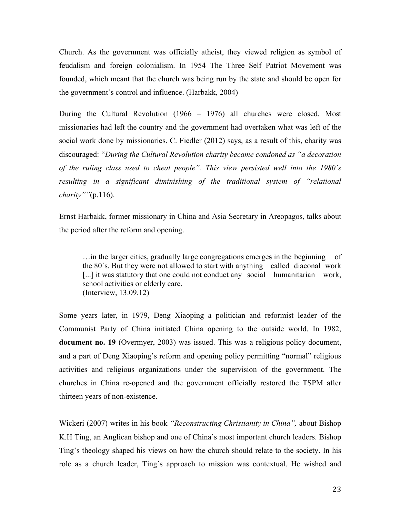Church. As the government was officially atheist, they viewed religion as symbol of feudalism and foreign colonialism. In 1954 The Three Self Patriot Movement was founded, which meant that the church was being run by the state and should be open for the government's control and influence. (Harbakk, 2004)

During the Cultural Revolution (1966 – 1976) all churches were closed. Most missionaries had left the country and the government had overtaken what was left of the social work done by missionaries. C. Fiedler (2012) says, as a result of this, charity was discouraged: "*During the Cultural Revolution charity became condoned as "a decoration of the ruling class used to cheat people". This view persisted well into the 1980´s resulting in a significant diminishing of the traditional system of "relational charity""*(p.116).

Ernst Harbakk, former missionary in China and Asia Secretary in Areopagos, talks about the period after the reform and opening.

…in the larger cities, gradually large congregations emerges in the beginning of the 80´s. But they were not allowed to start with anything called diaconal work [...] it was statutory that one could not conduct any social humanitarian work, school activities or elderly care. (Interview, 13.09.12)

Some years later, in 1979, Deng Xiaoping a politician and reformist leader of the Communist Party of China initiated China opening to the outside world. In 1982, **document no. 19** (Overmyer, 2003) was issued. This was a religious policy document, and a part of Deng Xiaoping's reform and opening policy permitting "normal" religious activities and religious organizations under the supervision of the government. The churches in China re-opened and the government officially restored the TSPM after thirteen years of non-existence.

Wickeri (2007) writes in his book *"Reconstructing Christianity in China",* about Bishop K.H Ting, an Anglican bishop and one of China's most important church leaders. Bishop Ting's theology shaped his views on how the church should relate to the society. In his role as a church leader, Ting´s approach to mission was contextual. He wished and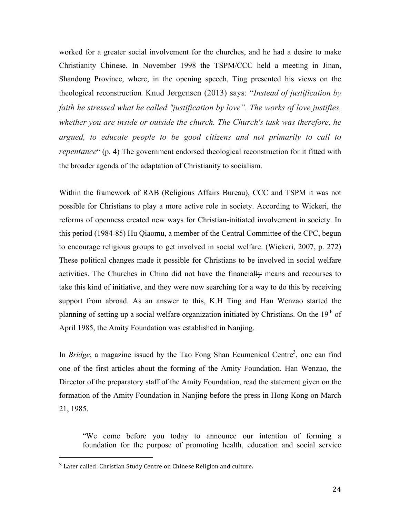worked for a greater social involvement for the churches, and he had a desire to make Christianity Chinese. In November 1998 the TSPM/CCC held a meeting in Jinan, Shandong Province, where, in the opening speech, Ting presented his views on the theological reconstruction*.* Knud Jørgensen (2013) says: "*Instead of justification by faith he stressed what he called "justification by love". The works of love justifies, whether you are inside or outside the church. The Church's task was therefore, he argued, to educate people to be good citizens and not primarily to call to repentance*" (p. 4) The government endorsed theological reconstruction for it fitted with the broader agenda of the adaptation of Christianity to socialism.

Within the framework of RAB (Religious Affairs Bureau), CCC and TSPM it was not possible for Christians to play a more active role in society. According to Wickeri, the reforms of openness created new ways for Christian-initiated involvement in society. In this period (1984-85) Hu Qiaomu, a member of the Central Committee of the CPC, begun to encourage religious groups to get involved in social welfare. (Wickeri, 2007, p. 272) These political changes made it possible for Christians to be involved in social welfare activities. The Churches in China did not have the financially means and recourses to take this kind of initiative, and they were now searching for a way to do this by receiving support from abroad. As an answer to this, K.H Ting and Han Wenzao started the planning of setting up a social welfare organization initiated by Christians. On the  $19<sup>th</sup>$  of April 1985, the Amity Foundation was established in Nanjing.

In *Bridge*, a magazine issued by the Tao Fong Shan Ecumenical Centre<sup>3</sup>, one can find one of the first articles about the forming of the Amity Foundation. Han Wenzao, the Director of the preparatory staff of the Amity Foundation, read the statement given on the formation of the Amity Foundation in Nanjing before the press in Hong Kong on March 21, 1985.

"We come before you today to announce our intention of forming a foundation for the purpose of promoting health, education and social service

 

 $3$  Later called: Christian Study Centre on Chinese Religion and culture.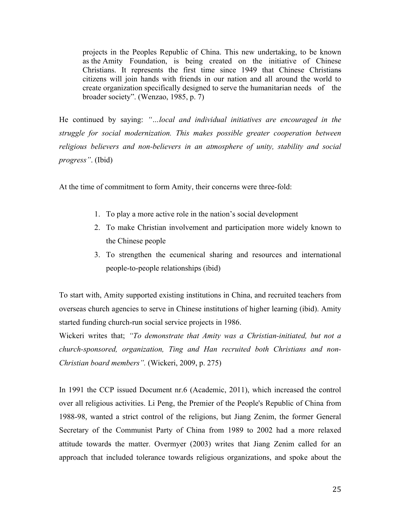projects in the Peoples Republic of China. This new undertaking, to be known as the Amity Foundation, is being created on the initiative of Chinese Christians. It represents the first time since 1949 that Chinese Christians citizens will join hands with friends in our nation and all around the world to create organization specifically designed to serve the humanitarian needs of the broader society". (Wenzao, 1985, p. 7)

He continued by saying: *"…local and individual initiatives are encouraged in the struggle for social modernization. This makes possible greater cooperation between religious believers and non-believers in an atmosphere of unity, stability and social progress"*. (Ibid)

At the time of commitment to form Amity, their concerns were three-fold:

- 1. To play a more active role in the nation's social development
- 2. To make Christian involvement and participation more widely known to the Chinese people
- 3. To strengthen the ecumenical sharing and resources and international people-to-people relationships (ibid)

To start with, Amity supported existing institutions in China, and recruited teachers from overseas church agencies to serve in Chinese institutions of higher learning (ibid). Amity started funding church-run social service projects in 1986.

Wickeri writes that; *"To demonstrate that Amity was a Christian-initiated, but not a church-sponsored, organization, Ting and Han recruited both Christians and non-Christian board members".* (Wickeri, 2009, p. 275)

In 1991 the CCP issued Document nr.6 (Academic, 2011), which increased the control over all religious activities. Li Peng, the Premier of the People's Republic of China from 1988-98, wanted a strict control of the religions, but Jiang Zenim, the former General Secretary of the Communist Party of China from 1989 to 2002 had a more relaxed attitude towards the matter. Overmyer (2003) writes that Jiang Zenim called for an approach that included tolerance towards religious organizations, and spoke about the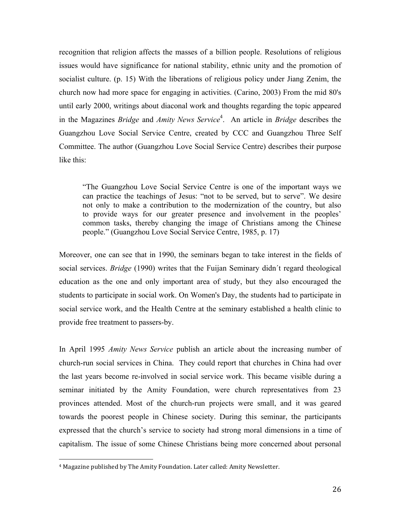recognition that religion affects the masses of a billion people. Resolutions of religious issues would have significance for national stability, ethnic unity and the promotion of socialist culture. (p. 15) With the liberations of religious policy under Jiang Zenim, the church now had more space for engaging in activities. (Carino, 2003) From the mid 80's until early 2000, writings about diaconal work and thoughts regarding the topic appeared in the Magazines *Bridge* and *Amity News Service*<sup>4</sup> . An article in *Bridge* describes the Guangzhou Love Social Service Centre, created by CCC and Guangzhou Three Self Committee. The author (Guangzhou Love Social Service Centre) describes their purpose like this:

"The Guangzhou Love Social Service Centre is one of the important ways we can practice the teachings of Jesus: "not to be served, but to serve". We desire not only to make a contribution to the modernization of the country, but also to provide ways for our greater presence and involvement in the peoples' common tasks, thereby changing the image of Christians among the Chinese people." (Guangzhou Love Social Service Centre, 1985, p. 17)

Moreover, one can see that in 1990, the seminars began to take interest in the fields of social services. *Bridge* (1990) writes that the Fuijan Seminary didn´t regard theological education as the one and only important area of study, but they also encouraged the students to participate in social work. On Women's Day, the students had to participate in social service work, and the Health Centre at the seminary established a health clinic to provide free treatment to passers-by.

In April 1995 *Amity News Service* publish an article about the increasing number of church-run social services in China. They could report that churches in China had over the last years become re-involved in social service work. This became visible during a seminar initiated by the Amity Foundation, were church representatives from 23 provinces attended. Most of the church-run projects were small, and it was geared towards the poorest people in Chinese society. During this seminar, the participants expressed that the church's service to society had strong moral dimensions in a time of capitalism. The issue of some Chinese Christians being more concerned about personal

 

<sup>&</sup>lt;sup>4</sup> Magazine published by The Amity Foundation. Later called: Amity Newsletter.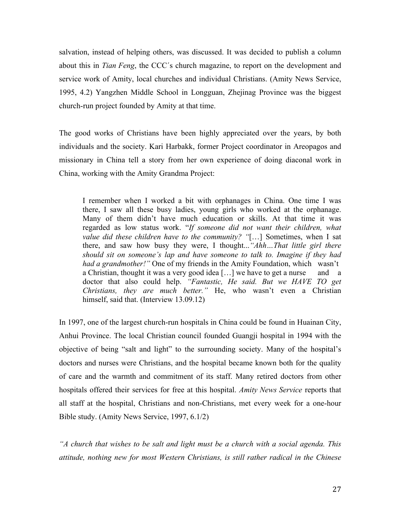salvation, instead of helping others, was discussed. It was decided to publish a column about this in *Tian Feng*, the CCC´s church magazine, to report on the development and service work of Amity, local churches and individual Christians. (Amity News Service, 1995, 4.2) Yangzhen Middle School in Longguan, Zhejinag Province was the biggest church-run project founded by Amity at that time.

The good works of Christians have been highly appreciated over the years, by both individuals and the society. Kari Harbakk, former Project coordinator in Areopagos and missionary in China tell a story from her own experience of doing diaconal work in China, working with the Amity Grandma Project:

I remember when I worked a bit with orphanages in China. One time I was there, I saw all these busy ladies, young girls who worked at the orphanage. Many of them didn't have much education or skills. At that time it was regarded as low status work. "*If someone did not want their children, what value did these children have to the community? "*[…] Sometimes, when I sat there, and saw how busy they were, I thought...*"Ahh…That little girl there should sit on someone's lap and have someone to talk to. Imagine if they had had a grandmother!"* One of my friends in the Amity Foundation, which wasn't a Christian, thought it was a very good idea [...] we have to get a nurse and a doctor that also could help. *"Fantastic, He said. But we HAVE TO get Christians, they are much better."* He, who wasn't even a Christian himself, said that. (Interview 13.09.12)

In 1997, one of the largest church-run hospitals in China could be found in Huainan City, Anhui Province. The local Christian council founded Guangji hospital in 1994 with the objective of being "salt and light" to the surrounding society. Many of the hospital's doctors and nurses were Christians, and the hospital became known both for the quality of care and the warmth and commitment of its staff. Many retired doctors from other hospitals offered their services for free at this hospital. *Amity News Service* reports that all staff at the hospital, Christians and non-Christians, met every week for a one-hour Bible study. (Amity News Service, 1997, 6.1/2)

*"A church that wishes to be salt and light must be a church with a social agenda. This attitude, nothing new for most Western Christians, is still rather radical in the Chinese*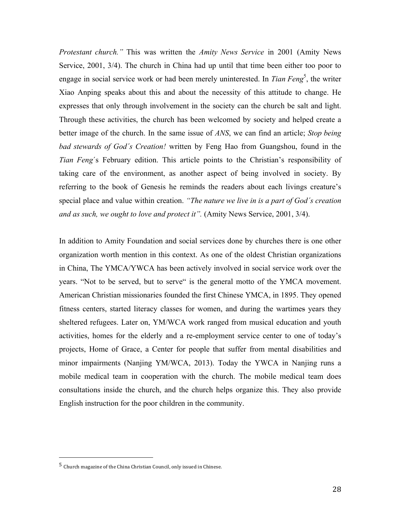*Protestant church."* This was written the *Amity News Service* in 2001 (Amity News Service, 2001, 3/4). The church in China had up until that time been either too poor to engage in social service work or had been merely uninterested. In *Tian Feng*<sup>5</sup>, the writer Xiao Anping speaks about this and about the necessity of this attitude to change. He expresses that only through involvement in the society can the church be salt and light. Through these activities, the church has been welcomed by society and helped create a better image of the church. In the same issue of *ANS*, we can find an article; *Stop being bad stewards of God´s Creation!* written by Feng Hao from Guangshou, found in the *Tian Feng*´s February edition. This article points to the Christian's responsibility of taking care of the environment, as another aspect of being involved in society. By referring to the book of Genesis he reminds the readers about each livings creature's special place and value within creation. *"The nature we live in is a part of God´s creation and as such, we ought to love and protect it".* (Amity News Service, 2001, 3/4).

In addition to Amity Foundation and social services done by churches there is one other organization worth mention in this context. As one of the oldest Christian organizations in China, The YMCA/YWCA has been actively involved in social service work over the years. "Not to be served, but to serve" is the general motto of the YMCA movement. American Christian missionaries founded the first Chinese YMCA, in 1895. They opened fitness centers, started literacy classes for women, and during the wartimes years they sheltered refugees. Later on, YM/WCA work ranged from musical education and youth activities, homes for the elderly and a re-employment service center to one of today's projects, Home of Grace, a Center for people that suffer from mental disabilities and minor impairments (Nanjing YM/WCA, 2013). Today the YWCA in Nanjing runs a mobile medical team in cooperation with the church. The mobile medical team does consultations inside the church, and the church helps organize this. They also provide English instruction for the poor children in the community.

 

 $5$  Church magazine of the China Christian Council, only issued in Chinese.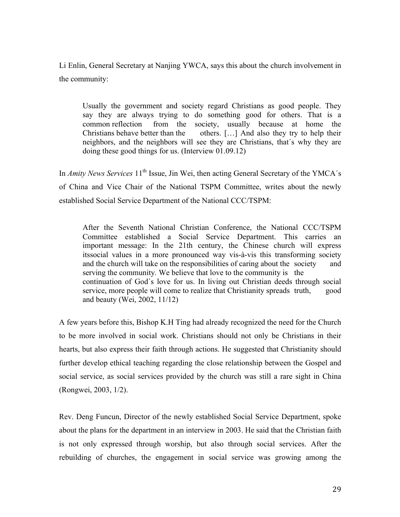Li Enlin, General Secretary at Nanjing YWCA, says this about the church involvement in the community:

Usually the government and society regard Christians as good people. They say they are always trying to do something good for others. That is a common reflection from the society, usually because at home the Christians behave better than the others. […] And also they try to help their neighbors, and the neighbors will see they are Christians, that´s why they are doing these good things for us. (Interview 01.09.12)

In *Amity News Services* 11<sup>th</sup> Issue, Jin Wei, then acting General Secretary of the YMCA's of China and Vice Chair of the National TSPM Committee, writes about the newly established Social Service Department of the National CCC/TSPM:

After the Seventh National Christian Conference, the National CCC/TSPM Committee established a Social Service Department. This carries an important message: In the 21th century, the Chinese church will express itssocial values in a more pronounced way vis-à-vis this transforming society and the church will take on the responsibilities of caring about the society and serving the community*.* We believe that love to the community is the continuation of God´s love for us. In living out Christian deeds through social service, more people will come to realize that Christianity spreads truth, good and beauty (Wei, 2002, 11/12)

A few years before this, Bishop K.H Ting had already recognized the need for the Church to be more involved in social work. Christians should not only be Christians in their hearts, but also express their faith through actions. He suggested that Christianity should further develop ethical teaching regarding the close relationship between the Gospel and social service, as social services provided by the church was still a rare sight in China (Rongwei, 2003, 1/2).

Rev. Deng Funcun, Director of the newly established Social Service Department, spoke about the plans for the department in an interview in 2003. He said that the Christian faith is not only expressed through worship, but also through social services. After the rebuilding of churches, the engagement in social service was growing among the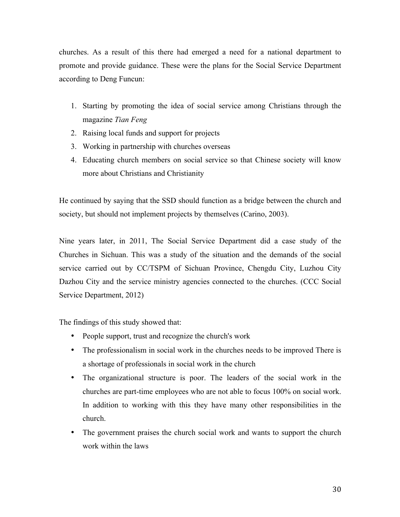churches. As a result of this there had emerged a need for a national department to promote and provide guidance. These were the plans for the Social Service Department according to Deng Funcun:

- 1. Starting by promoting the idea of social service among Christians through the magazine *Tian Feng*
- 2. Raising local funds and support for projects
- 3. Working in partnership with churches overseas
- 4. Educating church members on social service so that Chinese society will know more about Christians and Christianity

He continued by saying that the SSD should function as a bridge between the church and society, but should not implement projects by themselves (Carino, 2003).

Nine years later, in 2011, The Social Service Department did a case study of the Churches in Sichuan. This was a study of the situation and the demands of the social service carried out by CC/TSPM of Sichuan Province, Chengdu City, Luzhou City Dazhou City and the service ministry agencies connected to the churches. (CCC Social Service Department, 2012)

The findings of this study showed that:

- People support, trust and recognize the church's work
- The professionalism in social work in the churches needs to be improved There is a shortage of professionals in social work in the church
- The organizational structure is poor. The leaders of the social work in the churches are part-time employees who are not able to focus 100% on social work. In addition to working with this they have many other responsibilities in the church.
- The government praises the church social work and wants to support the church work within the laws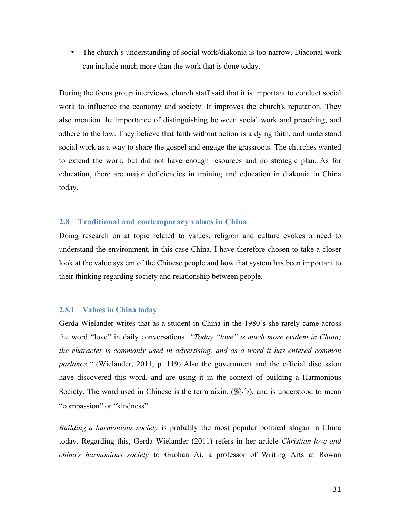• The church's understanding of social work/diakonia is too narrow. Diaconal work can include much more than the work that is done today.

During the focus group interviews, church staff said that it is important to conduct social work to influence the economy and society. It improves the church's reputation. They also mention the importance of distinguishing between social work and preaching, and adhere to the law. They believe that faith without action is a dying faith, and understand social work as a way to share the gospel and engage the grassroots. The churches wanted to extend the work, but did not have enough resources and no strategic plan. As for education, there are major deficiencies in training and education in diakonia in China today.

#### **2.8 Traditional and contemporary values in China**

Doing research on at topic related to values, religion and culture evokes a need to understand the environment, in this case China. I have therefore chosen to take a closer look at the value system of the Chinese people and how that system has been important to their thinking regarding society and relationship between people.

#### **2.8.1 Values in China today**

Gerda Wielander writes that as a student in China in the 1980´s she rarely came across the word "love" in daily conversations. *"Today "love" is much more evident in China; the character is commonly used in advertising, and as a word it has entered common parlance."* (Wielander, 2011, p. 119) Also the government and the official discussion have discovered this word, and are using it in the context of building a Harmonious Society. The word used in Chinese is the term aixin,  $(\mathcal{L})$ , and is understood to mean "compassion" or "kindness".

*Building a harmonious society* is probably the most popular political slogan in China today. Regarding this, Gerda Wielander (2011) refers in her article *Christian love and china's harmonious society* to Guohan Ai, a professor of Writing Arts at Rowan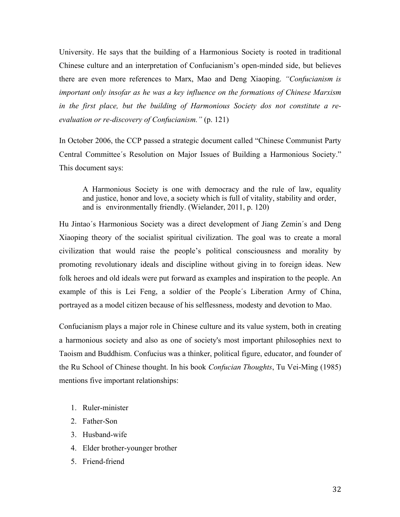University. He says that the building of a Harmonious Society is rooted in traditional Chinese culture and an interpretation of Confucianism's open-minded side, but believes there are even more references to Marx, Mao and Deng Xiaoping. *"Confucianism is important only insofar as he was a key influence on the formations of Chinese Marxism in the first place, but the building of Harmonious Society dos not constitute a reevaluation or re-discovery of Confucianism."* (p. 121)

In October 2006, the CCP passed a strategic document called "Chinese Communist Party Central Committee´s Resolution on Major Issues of Building a Harmonious Society." This document says:

A Harmonious Society is one with democracy and the rule of law, equality and justice, honor and love, a society which is full of vitality, stability and order, and is environmentally friendly. (Wielander, 2011, p. 120)

Hu Jintao´s Harmonious Society was a direct development of Jiang Zemin´s and Deng Xiaoping theory of the socialist spiritual civilization. The goal was to create a moral civilization that would raise the people's political consciousness and morality by promoting revolutionary ideals and discipline without giving in to foreign ideas. New folk heroes and old ideals were put forward as examples and inspiration to the people. An example of this is Lei Feng, a soldier of the People´s Liberation Army of China, portrayed as a model citizen because of his selflessness, modesty and devotion to Mao.

Confucianism plays a major role in Chinese culture and its value system, both in creating a harmonious society and also as one of society's most important philosophies next to Taoism and Buddhism. Confucius was a thinker, political figure, educator, and founder of the Ru School of Chinese thought. In his book *Confucian Thoughts*, Tu Vei-Ming (1985) mentions five important relationships:

- 1. Ruler-minister
- 2. Father-Son
- 3. Husband-wife
- 4. Elder brother-younger brother
- 5. Friend-friend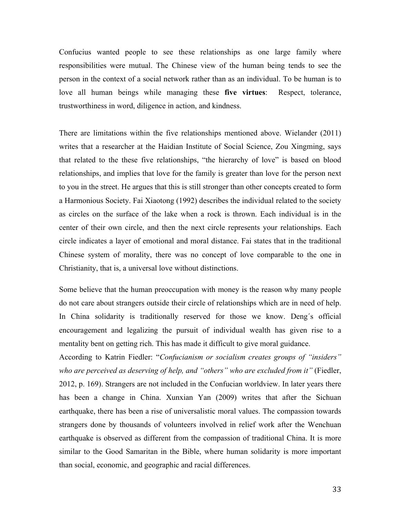Confucius wanted people to see these relationships as one large family where responsibilities were mutual. The Chinese view of the human being tends to see the person in the context of a social network rather than as an individual. To be human is to love all human beings while managing these **five virtues**: Respect, tolerance, trustworthiness in word, diligence in action, and kindness.

There are limitations within the five relationships mentioned above. Wielander (2011) writes that a researcher at the Haidian Institute of Social Science, Zou Xingming, says that related to the these five relationships, "the hierarchy of love" is based on blood relationships, and implies that love for the family is greater than love for the person next to you in the street. He argues that this is still stronger than other concepts created to form a Harmonious Society. Fai Xiaotong (1992) describes the individual related to the society as circles on the surface of the lake when a rock is thrown. Each individual is in the center of their own circle, and then the next circle represents your relationships. Each circle indicates a layer of emotional and moral distance. Fai states that in the traditional Chinese system of morality, there was no concept of love comparable to the one in Christianity, that is, a universal love without distinctions.

Some believe that the human preoccupation with money is the reason why many people do not care about strangers outside their circle of relationships which are in need of help. In China solidarity is traditionally reserved for those we know. Deng´s official encouragement and legalizing the pursuit of individual wealth has given rise to a mentality bent on getting rich. This has made it difficult to give moral guidance.

According to Katrin Fiedler: "*Confucianism or socialism creates groups of "insiders" who are perceived as deserving of help, and "others" who are excluded from it"* (Fiedler, 2012, p. 169). Strangers are not included in the Confucian worldview. In later years there has been a change in China. Xunxian Yan (2009) writes that after the Sichuan earthquake, there has been a rise of universalistic moral values. The compassion towards strangers done by thousands of volunteers involved in relief work after the Wenchuan earthquake is observed as different from the compassion of traditional China. It is more similar to the Good Samaritan in the Bible, where human solidarity is more important than social, economic, and geographic and racial differences.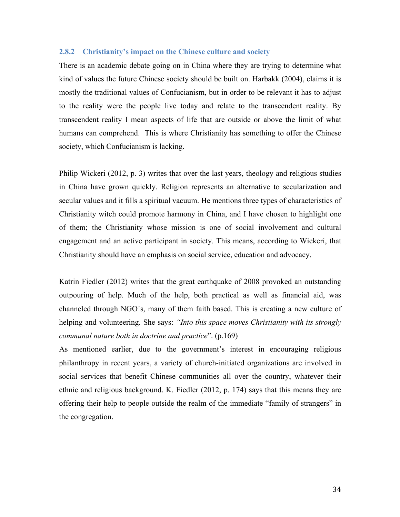#### **2.8.2 Christianity's impact on the Chinese culture and society**

There is an academic debate going on in China where they are trying to determine what kind of values the future Chinese society should be built on. Harbakk (2004), claims it is mostly the traditional values of Confucianism, but in order to be relevant it has to adjust to the reality were the people live today and relate to the transcendent reality. By transcendent reality I mean aspects of life that are outside or above the limit of what humans can comprehend. This is where Christianity has something to offer the Chinese society, which Confucianism is lacking.

Philip Wickeri (2012, p. 3) writes that over the last years, theology and religious studies in China have grown quickly. Religion represents an alternative to secularization and secular values and it fills a spiritual vacuum. He mentions three types of characteristics of Christianity witch could promote harmony in China, and I have chosen to highlight one of them; the Christianity whose mission is one of social involvement and cultural engagement and an active participant in society. This means, according to Wickeri, that Christianity should have an emphasis on social service, education and advocacy.

Katrin Fiedler (2012) writes that the great earthquake of 2008 provoked an outstanding outpouring of help. Much of the help, both practical as well as financial aid, was channeled through NGO´s, many of them faith based. This is creating a new culture of helping and volunteering. She says: *"Into this space moves Christianity with its strongly communal nature both in doctrine and practice*". (p.169)

As mentioned earlier, due to the government's interest in encouraging religious philanthropy in recent years, a variety of church-initiated organizations are involved in social services that benefit Chinese communities all over the country, whatever their ethnic and religious background. K. Fiedler (2012, p. 174) says that this means they are offering their help to people outside the realm of the immediate "family of strangers" in the congregation.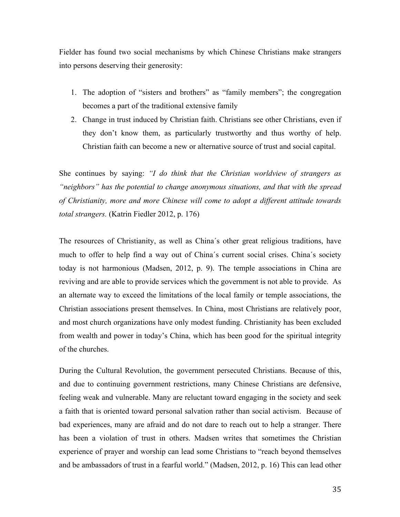Fielder has found two social mechanisms by which Chinese Christians make strangers into persons deserving their generosity:

- 1. The adoption of "sisters and brothers" as "family members"; the congregation becomes a part of the traditional extensive family
- 2. Change in trust induced by Christian faith. Christians see other Christians, even if they don't know them, as particularly trustworthy and thus worthy of help. Christian faith can become a new or alternative source of trust and social capital.

She continues by saying: *"I do think that the Christian worldview of strangers as "neighbors" has the potential to change anonymous situations, and that with the spread of Christianity, more and more Chinese will come to adopt a different attitude towards total strangers.* (Katrin Fiedler 2012, p. 176)

The resources of Christianity, as well as China´s other great religious traditions, have much to offer to help find a way out of China´s current social crises. China´s society today is not harmonious (Madsen, 2012, p. 9). The temple associations in China are reviving and are able to provide services which the government is not able to provide. As an alternate way to exceed the limitations of the local family or temple associations, the Christian associations present themselves. In China, most Christians are relatively poor, and most church organizations have only modest funding. Christianity has been excluded from wealth and power in today's China, which has been good for the spiritual integrity of the churches.

During the Cultural Revolution, the government persecuted Christians. Because of this, and due to continuing government restrictions, many Chinese Christians are defensive, feeling weak and vulnerable. Many are reluctant toward engaging in the society and seek a faith that is oriented toward personal salvation rather than social activism. Because of bad experiences, many are afraid and do not dare to reach out to help a stranger. There has been a violation of trust in others. Madsen writes that sometimes the Christian experience of prayer and worship can lead some Christians to "reach beyond themselves and be ambassadors of trust in a fearful world." (Madsen, 2012, p. 16) This can lead other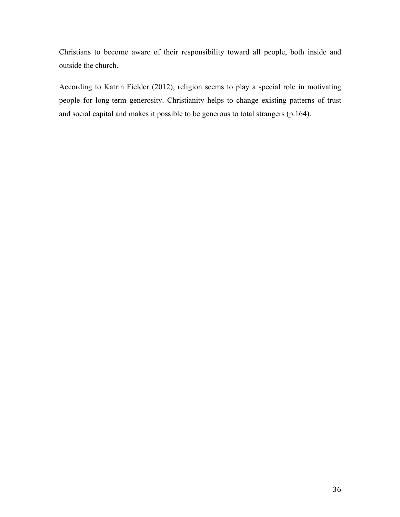Christians to become aware of their responsibility toward all people, both inside and outside the church.

According to Katrin Fielder (2012), religion seems to play a special role in motivating people for long-term generosity. Christianity helps to change existing patterns of trust and social capital and makes it possible to be generous to total strangers (p.164).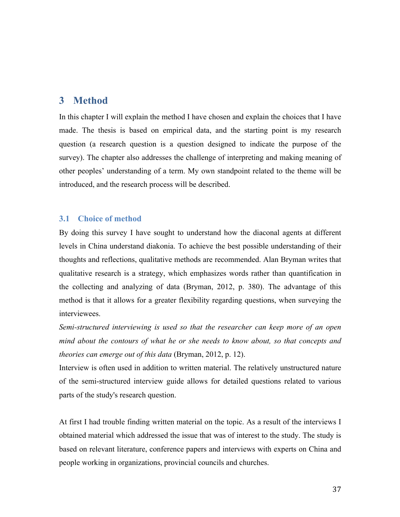## **3 Method**

In this chapter I will explain the method I have chosen and explain the choices that I have made. The thesis is based on empirical data, and the starting point is my research question (a research question is a question designed to indicate the purpose of the survey). The chapter also addresses the challenge of interpreting and making meaning of other peoples' understanding of a term. My own standpoint related to the theme will be introduced, and the research process will be described.

## **3.1 Choice of method**

By doing this survey I have sought to understand how the diaconal agents at different levels in China understand diakonia. To achieve the best possible understanding of their thoughts and reflections, qualitative methods are recommended. Alan Bryman writes that qualitative research is a strategy, which emphasizes words rather than quantification in the collecting and analyzing of data (Bryman, 2012, p. 380). The advantage of this method is that it allows for a greater flexibility regarding questions, when surveying the interviewees.

*Semi-structured interviewing is used so that the researcher can keep more of an open mind about the contours of what he or she needs to know about, so that concepts and theories can emerge out of this data* (Bryman, 2012, p. 12).

Interview is often used in addition to written material. The relatively unstructured nature of the semi-structured interview guide allows for detailed questions related to various parts of the study's research question.

At first I had trouble finding written material on the topic. As a result of the interviews I obtained material which addressed the issue that was of interest to the study. The study is based on relevant literature, conference papers and interviews with experts on China and people working in organizations, provincial councils and churches.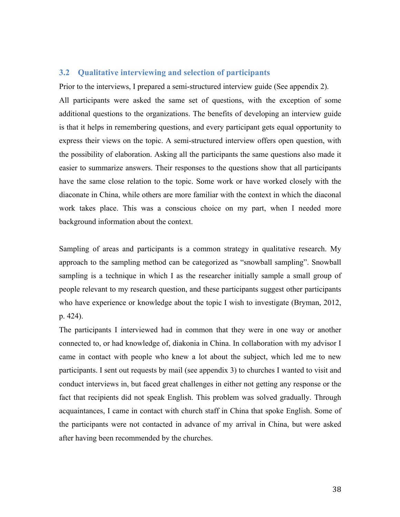#### **3.2 Qualitative interviewing and selection of participants**

Prior to the interviews, I prepared a semi-structured interview guide (See appendix 2). All participants were asked the same set of questions, with the exception of some additional questions to the organizations. The benefits of developing an interview guide is that it helps in remembering questions, and every participant gets equal opportunity to express their views on the topic. A semi-structured interview offers open question, with the possibility of elaboration. Asking all the participants the same questions also made it easier to summarize answers. Their responses to the questions show that all participants have the same close relation to the topic. Some work or have worked closely with the diaconate in China, while others are more familiar with the context in which the diaconal work takes place. This was a conscious choice on my part, when I needed more background information about the context.

Sampling of areas and participants is a common strategy in qualitative research. My approach to the sampling method can be categorized as "snowball sampling". Snowball sampling is a technique in which I as the researcher initially sample a small group of people relevant to my research question, and these participants suggest other participants who have experience or knowledge about the topic I wish to investigate (Bryman, 2012, p. 424).

The participants I interviewed had in common that they were in one way or another connected to, or had knowledge of, diakonia in China. In collaboration with my advisor I came in contact with people who knew a lot about the subject, which led me to new participants. I sent out requests by mail (see appendix 3) to churches I wanted to visit and conduct interviews in, but faced great challenges in either not getting any response or the fact that recipients did not speak English. This problem was solved gradually. Through acquaintances, I came in contact with church staff in China that spoke English. Some of the participants were not contacted in advance of my arrival in China, but were asked after having been recommended by the churches.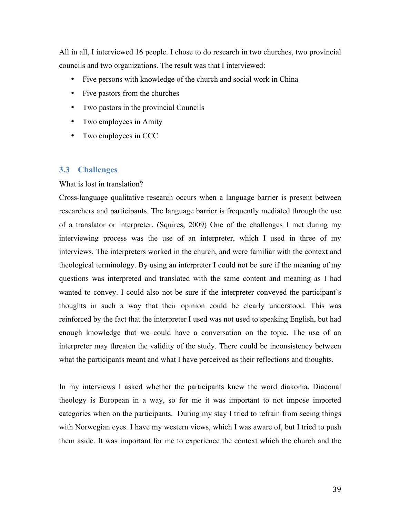All in all, I interviewed 16 people. I chose to do research in two churches, two provincial councils and two organizations. The result was that I interviewed:

- Five persons with knowledge of the church and social work in China
- Five pastors from the churches
- Two pastors in the provincial Councils
- Two employees in Amity
- Two employees in CCC

#### **3.3 Challenges**

#### What is lost in translation?

Cross-language qualitative research occurs when a language barrier is present between researchers and participants. The language barrier is frequently mediated through the use of a translator or interpreter. (Squires, 2009) One of the challenges I met during my interviewing process was the use of an interpreter, which I used in three of my interviews. The interpreters worked in the church, and were familiar with the context and theological terminology. By using an interpreter I could not be sure if the meaning of my questions was interpreted and translated with the same content and meaning as I had wanted to convey. I could also not be sure if the interpreter conveyed the participant's thoughts in such a way that their opinion could be clearly understood. This was reinforced by the fact that the interpreter I used was not used to speaking English, but had enough knowledge that we could have a conversation on the topic. The use of an interpreter may threaten the validity of the study. There could be inconsistency between what the participants meant and what I have perceived as their reflections and thoughts.

In my interviews I asked whether the participants knew the word diakonia. Diaconal theology is European in a way, so for me it was important to not impose imported categories when on the participants. During my stay I tried to refrain from seeing things with Norwegian eyes. I have my western views, which I was aware of, but I tried to push them aside. It was important for me to experience the context which the church and the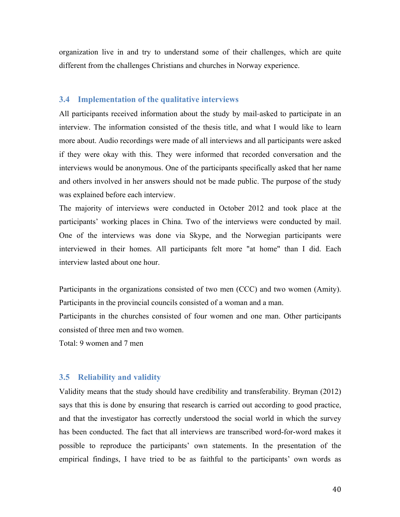organization live in and try to understand some of their challenges, which are quite different from the challenges Christians and churches in Norway experience.

#### **3.4 Implementation of the qualitative interviews**

All participants received information about the study by mail-asked to participate in an interview. The information consisted of the thesis title, and what I would like to learn more about. Audio recordings were made of all interviews and all participants were asked if they were okay with this. They were informed that recorded conversation and the interviews would be anonymous. One of the participants specifically asked that her name and others involved in her answers should not be made public. The purpose of the study was explained before each interview.

The majority of interviews were conducted in October 2012 and took place at the participants' working places in China. Two of the interviews were conducted by mail. One of the interviews was done via Skype, and the Norwegian participants were interviewed in their homes. All participants felt more "at home" than I did. Each interview lasted about one hour.

Participants in the organizations consisted of two men (CCC) and two women (Amity). Participants in the provincial councils consisted of a woman and a man.

Participants in the churches consisted of four women and one man. Other participants consisted of three men and two women.

Total: 9 women and 7 men

## **3.5 Reliability and validity**

Validity means that the study should have credibility and transferability. Bryman (2012) says that this is done by ensuring that research is carried out according to good practice, and that the investigator has correctly understood the social world in which the survey has been conducted. The fact that all interviews are transcribed word-for-word makes it possible to reproduce the participants' own statements. In the presentation of the empirical findings, I have tried to be as faithful to the participants' own words as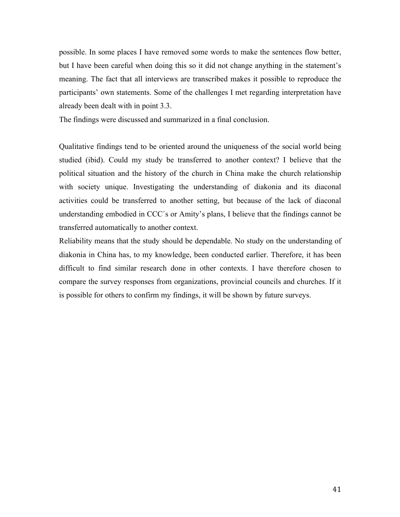possible. In some places I have removed some words to make the sentences flow better, but I have been careful when doing this so it did not change anything in the statement's meaning. The fact that all interviews are transcribed makes it possible to reproduce the participants' own statements. Some of the challenges I met regarding interpretation have already been dealt with in point 3.3.

The findings were discussed and summarized in a final conclusion.

Qualitative findings tend to be oriented around the uniqueness of the social world being studied (ibid). Could my study be transferred to another context? I believe that the political situation and the history of the church in China make the church relationship with society unique. Investigating the understanding of diakonia and its diaconal activities could be transferred to another setting, but because of the lack of diaconal understanding embodied in CCC´s or Amity's plans, I believe that the findings cannot be transferred automatically to another context.

Reliability means that the study should be dependable. No study on the understanding of diakonia in China has, to my knowledge, been conducted earlier. Therefore, it has been difficult to find similar research done in other contexts. I have therefore chosen to compare the survey responses from organizations, provincial councils and churches. If it is possible for others to confirm my findings, it will be shown by future surveys.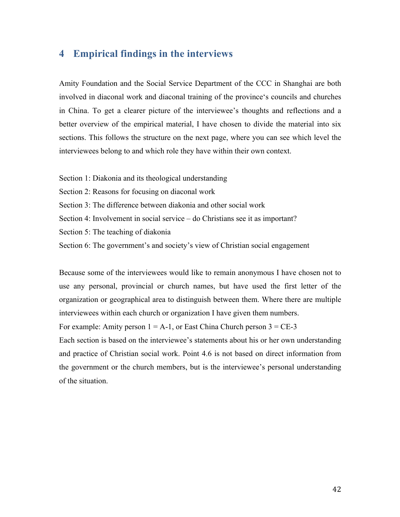## **4 Empirical findings in the interviews**

Amity Foundation and the Social Service Department of the CCC in Shanghai are both involved in diaconal work and diaconal training of the province's councils and churches in China. To get a clearer picture of the interviewee's thoughts and reflections and a better overview of the empirical material, I have chosen to divide the material into six sections. This follows the structure on the next page, where you can see which level the interviewees belong to and which role they have within their own context.

Section 1: Diakonia and its theological understanding

Section 2: Reasons for focusing on diaconal work

Section 3: The difference between diakonia and other social work

Section 4: Involvement in social service – do Christians see it as important?

Section 5: The teaching of diakonia

Section 6: The government's and society's view of Christian social engagement

Because some of the interviewees would like to remain anonymous I have chosen not to use any personal, provincial or church names, but have used the first letter of the organization or geographical area to distinguish between them. Where there are multiple interviewees within each church or organization I have given them numbers.

For example: Amity person  $1 = A-1$ , or East China Church person  $3 = CE-3$ 

Each section is based on the interviewee's statements about his or her own understanding and practice of Christian social work. Point 4.6 is not based on direct information from the government or the church members, but is the interviewee's personal understanding of the situation.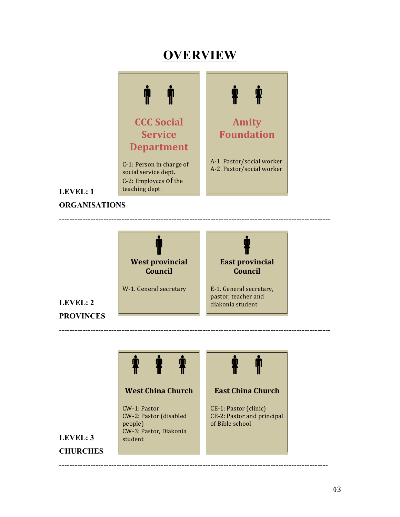# **OVERVIEW**



## **LEVEL: 1**

**ORGANISATIONS**



--------------------------------------------------------------------------------------------------------

 $\mathbf{\hat{T}}$ 

**East China Church**

CE-1: Pastor (clinic) CE-2: Pastor and principal

of Bible school

-------------------------------------------------------------------------------------------------------

--------------------------------------------------------------------------------------------------------

## **LEVEL: 2 PROVINCES**



## **West China Church**

CW-1: Pastor CW-2: Pastor (disabled people) CW-3: Pastor, Diakonia student

## **LEVEL: 3 CHURCHES**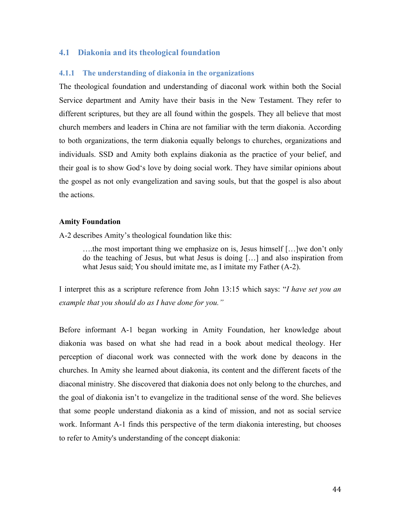### **4.1 Diakonia and its theological foundation**

#### **4.1.1 The understanding of diakonia in the organizations**

The theological foundation and understanding of diaconal work within both the Social Service department and Amity have their basis in the New Testament. They refer to different scriptures, but they are all found within the gospels. They all believe that most church members and leaders in China are not familiar with the term diakonia. According to both organizations, the term diakonia equally belongs to churches, organizations and individuals. SSD and Amity both explains diakonia as the practice of your belief, and their goal is to show God's love by doing social work. They have similar opinions about the gospel as not only evangelization and saving souls, but that the gospel is also about the actions.

#### **Amity Foundation**

A-2 describes Amity's theological foundation like this:

….the most important thing we emphasize on is, Jesus himself […]we don't only do the teaching of Jesus, but what Jesus is doing […] and also inspiration from what Jesus said; You should imitate me, as I imitate my Father (A-2).

I interpret this as a scripture reference from John 13:15 which says: "*I have set you an example that you should do as I have done for you."* 

Before informant A-1 began working in Amity Foundation, her knowledge about diakonia was based on what she had read in a book about medical theology. Her perception of diaconal work was connected with the work done by deacons in the churches. In Amity she learned about diakonia, its content and the different facets of the diaconal ministry. She discovered that diakonia does not only belong to the churches, and the goal of diakonia isn't to evangelize in the traditional sense of the word. She believes that some people understand diakonia as a kind of mission, and not as social service work. Informant A-1 finds this perspective of the term diakonia interesting, but chooses to refer to Amity's understanding of the concept diakonia: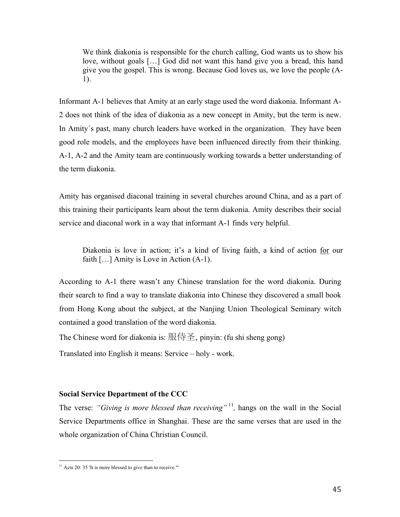We think diakonia is responsible for the church calling, God wants us to show his love, without goals […] God did not want this hand give you a bread, this hand give you the gospel. This is wrong. Because God loves us, we love the people (A-1).

Informant A-1 believes that Amity at an early stage used the word diakonia. Informant A-2 does not think of the idea of diakonia as a new concept in Amity, but the term is new. In Amity´s past, many church leaders have worked in the organization. They have been good role models, and the employees have been influenced directly from their thinking. A-1, A-2 and the Amity team are continuously working towards a better understanding of the term diakonia.

Amity has organised diaconal training in several churches around China, and as a part of this training their participants learn about the term diakonia. Amity describes their social service and diaconal work in a way that informant A-1 finds very helpful.

Diakonia is love in action; it's a kind of living faith, a kind of action for our faith [...] Amity is Love in Action (A-1).

According to A-1 there wasn't any Chinese translation for the word diakonia. During their search to find a way to translate diakonia into Chinese they discovered a small book from Hong Kong about the subject, at the Nanjing Union Theological Seminary witch contained a good translation of the word diakonia.

The Chinese word for diakonia is: 服侍圣, pinyin: (fu shi sheng gong)

Translated into English it means: Service – holy - work.

#### **Social Service Department of the CCC**

The verse: *"Giving is more blessed than receiving*"<sup>11</sup>, hangs on the wall in the Social Service Departments office in Shanghai. These are the same verses that are used in the whole organization of China Christian Council.

 

 $11$  Acts 20: 35 'It is more blessed to give than to receive."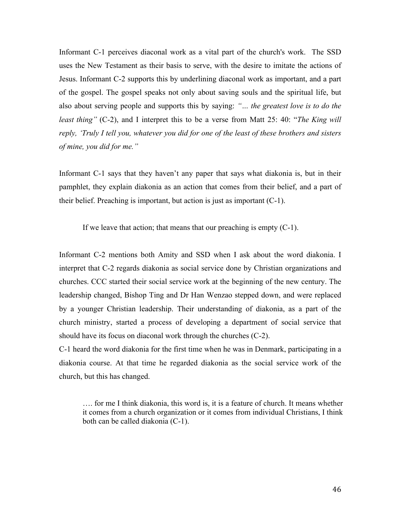Informant C-1 perceives diaconal work as a vital part of the church's work. The SSD uses the New Testament as their basis to serve, with the desire to imitate the actions of Jesus. Informant C-2 supports this by underlining diaconal work as important, and a part of the gospel. The gospel speaks not only about saving souls and the spiritual life, but also about serving people and supports this by saying: *"… the greatest love is to do the least thing"* (C-2), and I interpret this to be a verse from Matt 25: 40: "*The King will reply, 'Truly I tell you, whatever you did for one of the least of these brothers and sisters of mine, you did for me."*

Informant C-1 says that they haven't any paper that says what diakonia is, but in their pamphlet, they explain diakonia as an action that comes from their belief, and a part of their belief. Preaching is important, but action is just as important (C-1).

If we leave that action; that means that our preaching is empty  $(C-1)$ .

Informant C-2 mentions both Amity and SSD when I ask about the word diakonia. I interpret that C-2 regards diakonia as social service done by Christian organizations and churches. CCC started their social service work at the beginning of the new century. The leadership changed, Bishop Ting and Dr Han Wenzao stepped down, and were replaced by a younger Christian leadership. Their understanding of diakonia, as a part of the church ministry, started a process of developing a department of social service that should have its focus on diaconal work through the churches (C-2).

C-1 heard the word diakonia for the first time when he was in Denmark, participating in a diakonia course. At that time he regarded diakonia as the social service work of the church, but this has changed.

…. for me I think diakonia, this word is, it is a feature of church. It means whether it comes from a church organization or it comes from individual Christians, I think both can be called diakonia (C-1).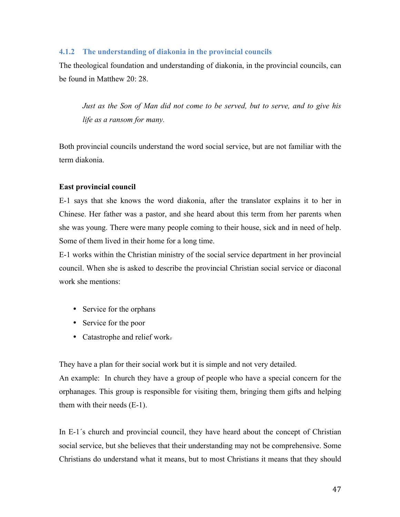#### **4.1.2 The understanding of diakonia in the provincial councils**

The theological foundation and understanding of diakonia, in the provincial councils, can be found in Matthew 20: 28.

*Just as the Son of Man did not come to be served, but to serve, and to give his life as a ransom for many.*

Both provincial councils understand the word social service, but are not familiar with the term diakonia.

#### **East provincial council**

E-1 says that she knows the word diakonia, after the translator explains it to her in Chinese. Her father was a pastor, and she heard about this term from her parents when she was young. There were many people coming to their house, sick and in need of help. Some of them lived in their home for a long time.

E-1 works within the Christian ministry of the social service department in her provincial council. When she is asked to describe the provincial Christian social service or diaconal work she mentions:

- Service for the orphans
- Service for the poor
- Catastrophe and relief work.

They have a plan for their social work but it is simple and not very detailed.

An example: In church they have a group of people who have a special concern for the orphanages. This group is responsible for visiting them, bringing them gifts and helping them with their needs (E-1).

In E-1´s church and provincial council, they have heard about the concept of Christian social service, but she believes that their understanding may not be comprehensive. Some Christians do understand what it means, but to most Christians it means that they should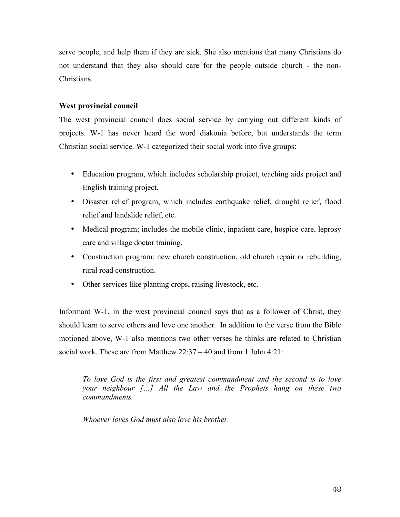serve people, and help them if they are sick. She also mentions that many Christians do not understand that they also should care for the people outside church - the non-Christians.

## **West provincial council**

The west provincial council does social service by carrying out different kinds of projects. W-1 has never heard the word diakonia before, but understands the term Christian social service. W-1 categorized their social work into five groups:

- Education program, which includes scholarship project, teaching aids project and English training project.
- Disaster relief program, which includes earthquake relief, drought relief, flood relief and landslide relief, etc.
- Medical program; includes the mobile clinic, inpatient care, hospice care, leprosy care and village doctor training.
- Construction program: new church construction, old church repair or rebuilding, rural road construction.
- Other services like planting crops, raising livestock, etc.

Informant W-1, in the west provincial council says that as a follower of Christ, they should learn to serve others and love one another. In addition to the verse from the Bible motioned above, W-1 also mentions two other verses he thinks are related to Christian social work. These are from Matthew 22:37 – 40 and from 1 John 4:21:

*To love God is the first and greatest commandment and the second is to love your neighbour […] All the Law and the Prophets hang on these two commandments.*

*Whoever loves God must also love his brother.*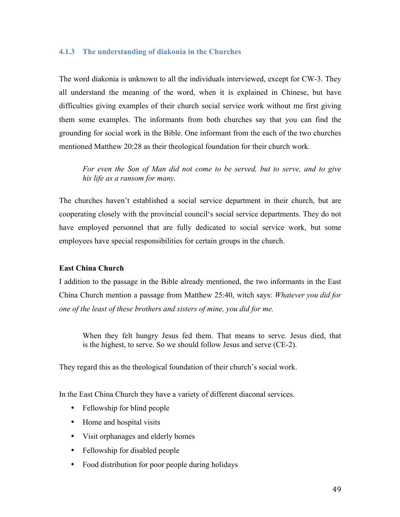## **4.1.3 The understanding of diakonia in the Churches**

The word diakonia is unknown to all the individuals interviewed, except for CW-3. They all understand the meaning of the word, when it is explained in Chinese, but have difficulties giving examples of their church social service work without me first giving them some examples. The informants from both churches say that you can find the grounding for social work in the Bible. One informant from the each of the two churches mentioned Matthew 20:28 as their theological foundation for their church work.

*For even the Son of Man did not come to be served, but to serve, and to give his life as a ransom for many.*

The churches haven't established a social service department in their church, but are cooperating closely with the provincial council's social service departments. They do not have employed personnel that are fully dedicated to social service work, but some employees have special responsibilities for certain groups in the church.

## **East China Church**

I addition to the passage in the Bible already mentioned, the two informants in the East China Church mention a passage from Matthew 25:40, witch says: *Whatever you did for one of the least of these brothers and sisters of mine, you did for me.*

When they felt hungry Jesus fed them. That means to serve. Jesus died, that is the highest, to serve. So we should follow Jesus and serve (CE-2).

They regard this as the theological foundation of their church's social work.

In the East China Church they have a variety of different diaconal services.

- Fellowship for blind people
- Home and hospital visits
- Visit orphanages and elderly homes
- Fellowship for disabled people
- Food distribution for poor people during holidays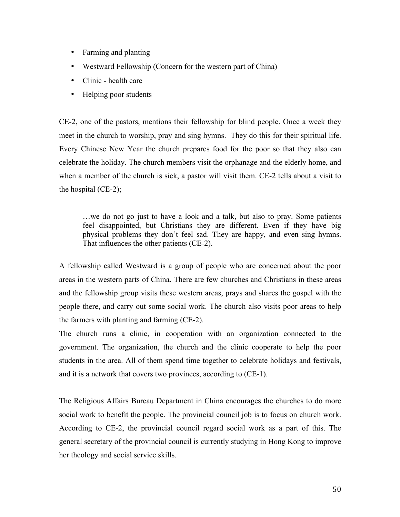- Farming and planting
- Westward Fellowship (Concern for the western part of China)
- Clinic health care
- Helping poor students

CE-2, one of the pastors, mentions their fellowship for blind people. Once a week they meet in the church to worship, pray and sing hymns. They do this for their spiritual life. Every Chinese New Year the church prepares food for the poor so that they also can celebrate the holiday. The church members visit the orphanage and the elderly home, and when a member of the church is sick, a pastor will visit them. CE-2 tells about a visit to the hospital (CE-2);

…we do not go just to have a look and a talk, but also to pray. Some patients feel disappointed, but Christians they are different. Even if they have big physical problems they don't feel sad. They are happy, and even sing hymns. That influences the other patients (CE-2).

A fellowship called Westward is a group of people who are concerned about the poor areas in the western parts of China. There are few churches and Christians in these areas and the fellowship group visits these western areas, prays and shares the gospel with the people there, and carry out some social work. The church also visits poor areas to help the farmers with planting and farming (CE-2).

The church runs a clinic, in cooperation with an organization connected to the government. The organization, the church and the clinic cooperate to help the poor students in the area. All of them spend time together to celebrate holidays and festivals, and it is a network that covers two provinces, according to (CE-1).

The Religious Affairs Bureau Department in China encourages the churches to do more social work to benefit the people. The provincial council job is to focus on church work. According to CE-2, the provincial council regard social work as a part of this. The general secretary of the provincial council is currently studying in Hong Kong to improve her theology and social service skills.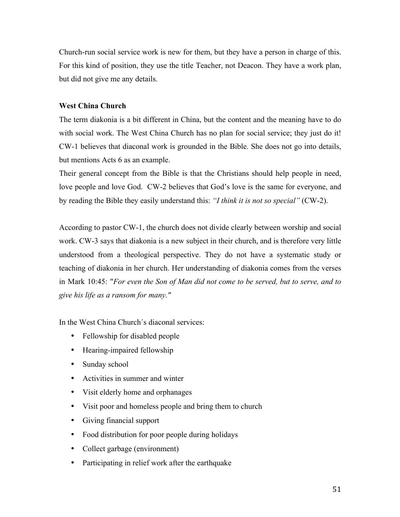Church-run social service work is new for them, but they have a person in charge of this. For this kind of position, they use the title Teacher, not Deacon. They have a work plan, but did not give me any details.

## **West China Church**

The term diakonia is a bit different in China, but the content and the meaning have to do with social work. The West China Church has no plan for social service; they just do it! CW-1 believes that diaconal work is grounded in the Bible. She does not go into details, but mentions Acts 6 as an example.

Their general concept from the Bible is that the Christians should help people in need, love people and love God. CW-2 believes that God's love is the same for everyone, and by reading the Bible they easily understand this: *"I think it is not so special"* (CW-2).

According to pastor CW-1, the church does not divide clearly between worship and social work. CW-3 says that diakonia is a new subject in their church, and is therefore very little understood from a theological perspective. They do not have a systematic study or teaching of diakonia in her church. Her understanding of diakonia comes from the verses in Mark 10:45: "*For even the Son of Man did not come to be served, but to serve, and to give his life as a ransom for many."*

In the West China Church´s diaconal services:

- Fellowship for disabled people
- Hearing-impaired fellowship
- Sunday school
- Activities in summer and winter
- Visit elderly home and orphanages
- Visit poor and homeless people and bring them to church
- Giving financial support
- Food distribution for poor people during holidays
- Collect garbage (environment)
- Participating in relief work after the earthquake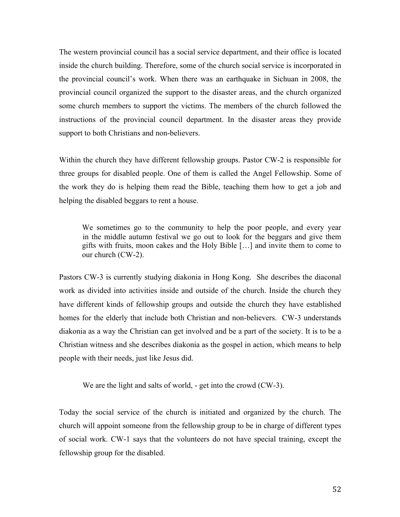The western provincial council has a social service department, and their office is located inside the church building. Therefore, some of the church social service is incorporated in the provincial council's work. When there was an earthquake in Sichuan in 2008, the provincial council organized the support to the disaster areas, and the church organized some church members to support the victims. The members of the church followed the instructions of the provincial council department. In the disaster areas they provide support to both Christians and non-believers.

Within the church they have different fellowship groups. Pastor CW-2 is responsible for three groups for disabled people. One of them is called the Angel Fellowship. Some of the work they do is helping them read the Bible, teaching them how to get a job and helping the disabled beggars to rent a house.

We sometimes go to the community to help the poor people, and every year in the middle autumn festival we go out to look for the beggars and give them gifts with fruits, moon cakes and the Holy Bible […] and invite them to come to our church (CW-2).

Pastors CW-3 is currently studying diakonia in Hong Kong. She describes the diaconal work as divided into activities inside and outside of the church. Inside the church they have different kinds of fellowship groups and outside the church they have established homes for the elderly that include both Christian and non-believers. CW-3 understands diakonia as a way the Christian can get involved and be a part of the society. It is to be a Christian witness and she describes diakonia as the gospel in action, which means to help people with their needs, just like Jesus did.

We are the light and salts of world, - get into the crowd (CW-3).

Today the social service of the church is initiated and organized by the church. The church will appoint someone from the fellowship group to be in charge of different types of social work. CW-1 says that the volunteers do not have special training, except the fellowship group for the disabled.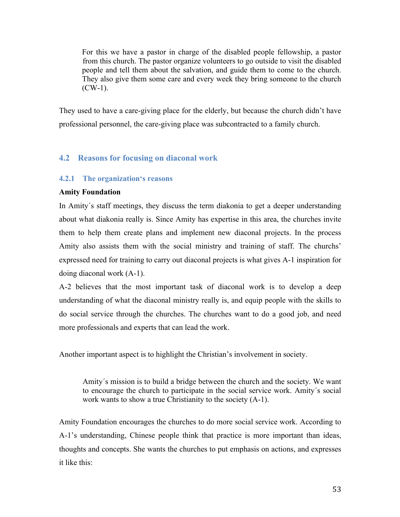For this we have a pastor in charge of the disabled people fellowship, a pastor from this church. The pastor organize volunteers to go outside to visit the disabled people and tell them about the salvation, and guide them to come to the church. They also give them some care and every week they bring someone to the church  $(CW-1)$ .

They used to have a care-giving place for the elderly, but because the church didn't have professional personnel, the care-giving place was subcontracted to a family church.

## **4.2 Reasons for focusing on diaconal work**

## **4.2.1 The organization's reasons**

## **Amity Foundation**

In Amity´s staff meetings, they discuss the term diakonia to get a deeper understanding about what diakonia really is. Since Amity has expertise in this area, the churches invite them to help them create plans and implement new diaconal projects. In the process Amity also assists them with the social ministry and training of staff. The churchs' expressed need for training to carry out diaconal projects is what gives A-1 inspiration for doing diaconal work (A-1).

A-2 believes that the most important task of diaconal work is to develop a deep understanding of what the diaconal ministry really is, and equip people with the skills to do social service through the churches. The churches want to do a good job, and need more professionals and experts that can lead the work.

Another important aspect is to highlight the Christian's involvement in society.

Amity´s mission is to build a bridge between the church and the society. We want to encourage the church to participate in the social service work. Amity´s social work wants to show a true Christianity to the society (A-1).

Amity Foundation encourages the churches to do more social service work. According to A-1's understanding, Chinese people think that practice is more important than ideas, thoughts and concepts. She wants the churches to put emphasis on actions, and expresses it like this: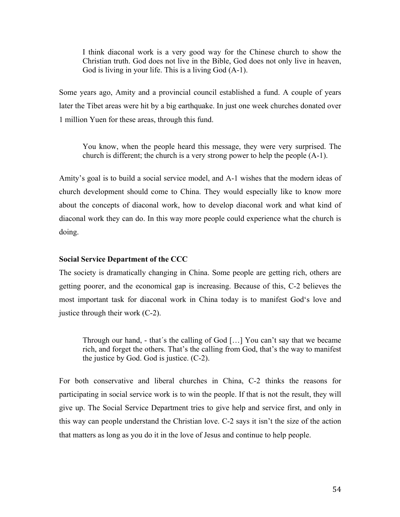I think diaconal work is a very good way for the Chinese church to show the Christian truth. God does not live in the Bible, God does not only live in heaven, God is living in your life. This is a living God (A-1).

Some years ago, Amity and a provincial council established a fund. A couple of years later the Tibet areas were hit by a big earthquake. In just one week churches donated over 1 million Yuen for these areas, through this fund.

You know, when the people heard this message, they were very surprised. The church is different; the church is a very strong power to help the people (A-1).

Amity's goal is to build a social service model, and A-1 wishes that the modern ideas of church development should come to China. They would especially like to know more about the concepts of diaconal work, how to develop diaconal work and what kind of diaconal work they can do. In this way more people could experience what the church is doing.

#### **Social Service Department of the CCC**

The society is dramatically changing in China. Some people are getting rich, others are getting poorer, and the economical gap is increasing. Because of this, C-2 believes the most important task for diaconal work in China today is to manifest God's love and justice through their work (C-2).

Through our hand, - that´s the calling of God […] You can't say that we became rich, and forget the others. That's the calling from God, that's the way to manifest the justice by God. God is justice. (C-2).

For both conservative and liberal churches in China, C-2 thinks the reasons for participating in social service work is to win the people. If that is not the result, they will give up. The Social Service Department tries to give help and service first, and only in this way can people understand the Christian love. C-2 says it isn't the size of the action that matters as long as you do it in the love of Jesus and continue to help people.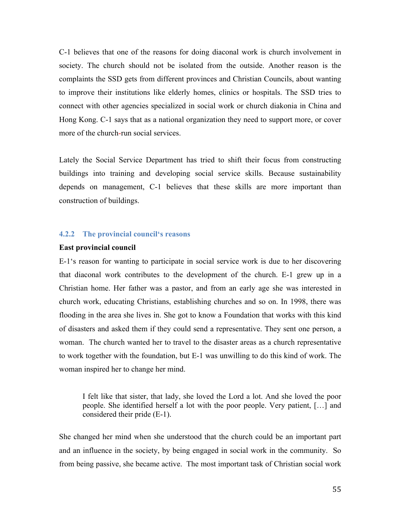C-1 believes that one of the reasons for doing diaconal work is church involvement in society. The church should not be isolated from the outside. Another reason is the complaints the SSD gets from different provinces and Christian Councils, about wanting to improve their institutions like elderly homes, clinics or hospitals. The SSD tries to connect with other agencies specialized in social work or church diakonia in China and Hong Kong. C-1 says that as a national organization they need to support more, or cover more of the church-run social services.

Lately the Social Service Department has tried to shift their focus from constructing buildings into training and developing social service skills. Because sustainability depends on management, C-1 believes that these skills are more important than construction of buildings.

#### **4.2.2 The provincial council's reasons**

#### **East provincial council**

E-1's reason for wanting to participate in social service work is due to her discovering that diaconal work contributes to the development of the church. E-1 grew up in a Christian home. Her father was a pastor, and from an early age she was interested in church work, educating Christians, establishing churches and so on. In 1998, there was flooding in the area she lives in. She got to know a Foundation that works with this kind of disasters and asked them if they could send a representative. They sent one person, a woman. The church wanted her to travel to the disaster areas as a church representative to work together with the foundation, but E-1 was unwilling to do this kind of work. The woman inspired her to change her mind.

I felt like that sister, that lady, she loved the Lord a lot. And she loved the poor people. She identified herself a lot with the poor people. Very patient, […] and considered their pride (E-1).

She changed her mind when she understood that the church could be an important part and an influence in the society, by being engaged in social work in the community. So from being passive, she became active. The most important task of Christian social work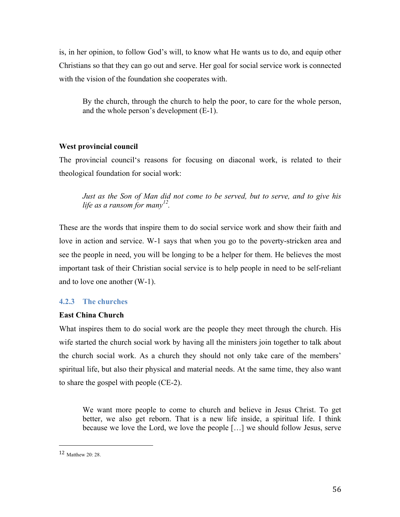is, in her opinion, to follow God's will, to know what He wants us to do, and equip other Christians so that they can go out and serve. Her goal for social service work is connected with the vision of the foundation she cooperates with.

By the church, through the church to help the poor, to care for the whole person, and the whole person's development (E-1).

#### **West provincial council**

The provincial council's reasons for focusing on diaconal work, is related to their theological foundation for social work:

*Just as the Son of Man did not come to be served, but to serve, and to give his life as a ransom for many12.*

These are the words that inspire them to do social service work and show their faith and love in action and service. W-1 says that when you go to the poverty-stricken area and see the people in need, you will be longing to be a helper for them. He believes the most important task of their Christian social service is to help people in need to be self-reliant and to love one another (W-1).

## **4.2.3 The churches**

#### **East China Church**

What inspires them to do social work are the people they meet through the church. His wife started the church social work by having all the ministers join together to talk about the church social work. As a church they should not only take care of the members' spiritual life, but also their physical and material needs. At the same time, they also want to share the gospel with people (CE-2).

We want more people to come to church and believe in Jesus Christ. To get better, we also get reborn. That is a new life inside, a spiritual life. I think because we love the Lord, we love the people […] we should follow Jesus, serve

 

<sup>12</sup> Matthew 20: 28.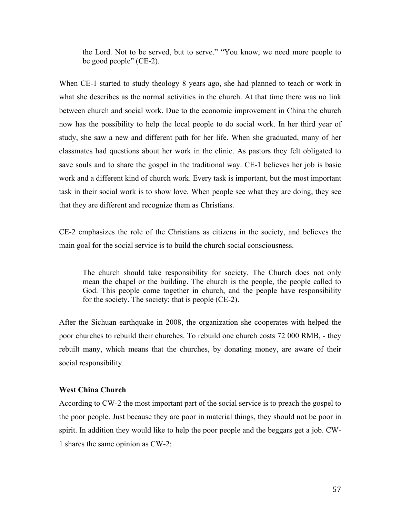the Lord. Not to be served, but to serve." "You know, we need more people to be good people" (CE-2).

When CE-1 started to study theology 8 years ago, she had planned to teach or work in what she describes as the normal activities in the church. At that time there was no link between church and social work. Due to the economic improvement in China the church now has the possibility to help the local people to do social work. In her third year of study, she saw a new and different path for her life. When she graduated, many of her classmates had questions about her work in the clinic. As pastors they felt obligated to save souls and to share the gospel in the traditional way. CE-1 believes her job is basic work and a different kind of church work. Every task is important, but the most important task in their social work is to show love. When people see what they are doing, they see that they are different and recognize them as Christians.

CE-2 emphasizes the role of the Christians as citizens in the society, and believes the main goal for the social service is to build the church social consciousness.

The church should take responsibility for society. The Church does not only mean the chapel or the building. The church is the people, the people called to God. This people come together in church, and the people have responsibility for the society. The society; that is people (CE-2).

After the Sichuan earthquake in 2008, the organization she cooperates with helped the poor churches to rebuild their churches. To rebuild one church costs 72 000 RMB, - they rebuilt many, which means that the churches, by donating money, are aware of their social responsibility.

## **West China Church**

According to CW-2 the most important part of the social service is to preach the gospel to the poor people. Just because they are poor in material things, they should not be poor in spirit. In addition they would like to help the poor people and the beggars get a job. CW-1 shares the same opinion as CW-2: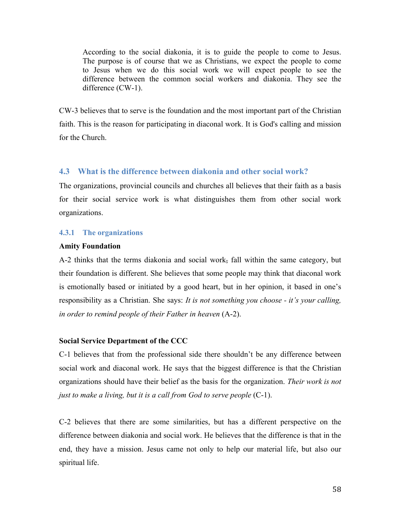According to the social diakonia, it is to guide the people to come to Jesus. The purpose is of course that we as Christians, we expect the people to come to Jesus when we do this social work we will expect people to see the difference between the common social workers and diakonia. They see the difference (CW-1).

CW-3 believes that to serve is the foundation and the most important part of the Christian faith. This is the reason for participating in diaconal work. It is God's calling and mission for the Church.

## **4.3 What is the difference between diakonia and other social work?**

The organizations, provincial councils and churches all believes that their faith as a basis for their social service work is what distinguishes them from other social work organizations.

## **4.3.1 The organizations**

#### **Amity Foundation**

A-2 thinks that the terms diakonia and social work, fall within the same category, but their foundation is different. She believes that some people may think that diaconal work is emotionally based or initiated by a good heart, but in her opinion, it based in one's responsibility as a Christian. She says: *It is not something you choose - it's your calling, in order to remind people of their Father in heaven* (A-2).

## **Social Service Department of the CCC**

C-1 believes that from the professional side there shouldn't be any difference between social work and diaconal work. He says that the biggest difference is that the Christian organizations should have their belief as the basis for the organization. *Their work is not just to make a living, but it is a call from God to serve people* (C-1).

C-2 believes that there are some similarities, but has a different perspective on the difference between diakonia and social work. He believes that the difference is that in the end, they have a mission. Jesus came not only to help our material life, but also our spiritual life.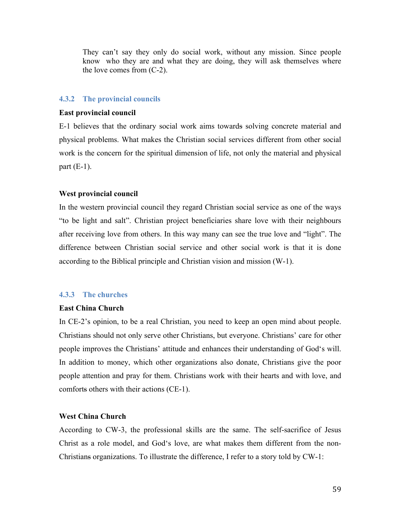They can't say they only do social work, without any mission. Since people know who they are and what they are doing, they will ask themselves where the love comes from (C-2).

#### **4.3.2 The provincial councils**

#### **East provincial council**

E-1 believes that the ordinary social work aims towards solving concrete material and physical problems. What makes the Christian social services different from other social work is the concern for the spiritual dimension of life, not only the material and physical part  $(E-1)$ .

#### **West provincial council**

In the western provincial council they regard Christian social service as one of the ways "to be light and salt". Christian project beneficiaries share love with their neighbours after receiving love from others. In this way many can see the true love and "light". The difference between Christian social service and other social work is that it is done according to the Biblical principle and Christian vision and mission (W-1).

#### **4.3.3 The churches**

#### **East China Church**

In CE-2's opinion, to be a real Christian, you need to keep an open mind about people. Christians should not only serve other Christians, but everyone. Christians' care for other people improves the Christians' attitude and enhances their understanding of God's will. In addition to money, which other organizations also donate, Christians give the poor people attention and pray for them. Christians work with their hearts and with love, and comforts others with their actions (CE-1).

## **West China Church**

According to CW-3, the professional skills are the same. The self-sacrifice of Jesus Christ as a role model, and God's love, are what makes them different from the non-Christians organizations. To illustrate the difference, I refer to a story told by CW-1: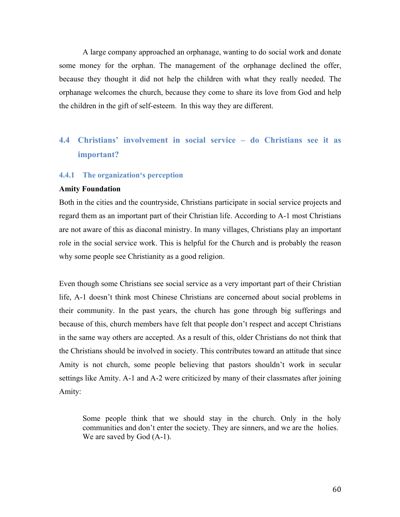A large company approached an orphanage, wanting to do social work and donate some money for the orphan. The management of the orphanage declined the offer, because they thought it did not help the children with what they really needed. The orphanage welcomes the church, because they come to share its love from God and help the children in the gift of self-esteem. In this way they are different.

## **4.4 Christians' involvement in social service – do Christians see it as important?**

#### **4.4.1 The organization's perception**

#### **Amity Foundation**

Both in the cities and the countryside, Christians participate in social service projects and regard them as an important part of their Christian life. According to A-1 most Christians are not aware of this as diaconal ministry. In many villages, Christians play an important role in the social service work. This is helpful for the Church and is probably the reason why some people see Christianity as a good religion.

Even though some Christians see social service as a very important part of their Christian life, A-1 doesn't think most Chinese Christians are concerned about social problems in their community. In the past years, the church has gone through big sufferings and because of this, church members have felt that people don't respect and accept Christians in the same way others are accepted. As a result of this, older Christians do not think that the Christians should be involved in society. This contributes toward an attitude that since Amity is not church, some people believing that pastors shouldn't work in secular settings like Amity. A-1 and A-2 were criticized by many of their classmates after joining Amity:

Some people think that we should stay in the church. Only in the holy communities and don't enter the society. They are sinners, and we are the holies. We are saved by God  $(A-1)$ .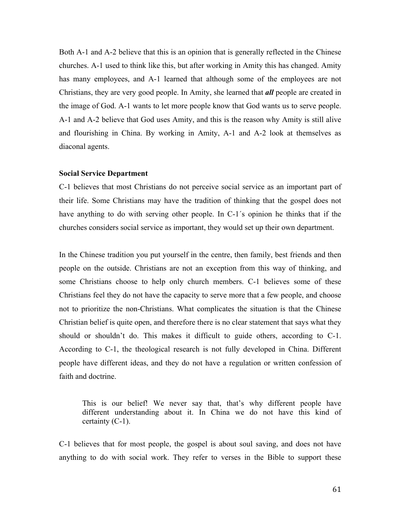Both A-1 and A-2 believe that this is an opinion that is generally reflected in the Chinese churches. A-1 used to think like this, but after working in Amity this has changed. Amity has many employees, and A-1 learned that although some of the employees are not Christians, they are very good people. In Amity, she learned that *all* people are created in the image of God. A-1 wants to let more people know that God wants us to serve people. A-1 and A-2 believe that God uses Amity, and this is the reason why Amity is still alive and flourishing in China. By working in Amity, A-1 and A-2 look at themselves as diaconal agents.

#### **Social Service Department**

C-1 believes that most Christians do not perceive social service as an important part of their life. Some Christians may have the tradition of thinking that the gospel does not have anything to do with serving other people. In C-1´s opinion he thinks that if the churches considers social service as important, they would set up their own department.

In the Chinese tradition you put yourself in the centre, then family, best friends and then people on the outside. Christians are not an exception from this way of thinking, and some Christians choose to help only church members. C-1 believes some of these Christians feel they do not have the capacity to serve more that a few people, and choose not to prioritize the non-Christians. What complicates the situation is that the Chinese Christian belief is quite open, and therefore there is no clear statement that says what they should or shouldn't do. This makes it difficult to guide others, according to C-1. According to C-1, the theological research is not fully developed in China. Different people have different ideas, and they do not have a regulation or written confession of faith and doctrine.

This is our belief! We never say that, that's why different people have different understanding about it. In China we do not have this kind of certainty (C-1).

C-1 believes that for most people, the gospel is about soul saving, and does not have anything to do with social work. They refer to verses in the Bible to support these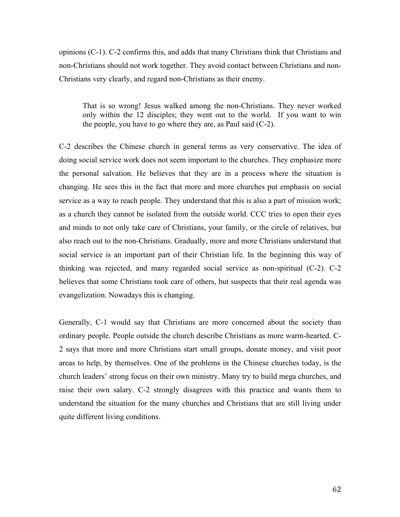opinions (C-1). C-2 confirms this, and adds that many Christians think that Christians and non-Christians should not work together. They avoid contact between Christians and non-Christians very clearly, and regard non-Christians as their enemy.

That is so wrong! Jesus walked among the non-Christians. They never worked only within the 12 disciples; they went out to the world. If you want to win the people, you have to go where they are, as Paul said (C-2).

C-2 describes the Chinese church in general terms as very conservative. The idea of doing social service work does not seem important to the churches. They emphasize more the personal salvation. He believes that they are in a process where the situation is changing. He sees this in the fact that more and more churches put emphasis on social service as a way to reach people. They understand that this is also a part of mission work; as a church they cannot be isolated from the outside world. CCC tries to open their eyes and minds to not only take care of Christians, your family, or the circle of relatives, but also reach out to the non-Christians. Gradually, more and more Christians understand that social service is an important part of their Christian life. In the beginning this way of thinking was rejected, and many regarded social service as non-spiritual (C-2). C-2 believes that some Christians took care of others, but suspects that their real agenda was evangelization. Nowadays this is changing.

Generally, C-1 would say that Christians are more concerned about the society than ordinary people. People outside the church describe Christians as more warm-hearted. C-2 says that more and more Christians start small groups, donate money, and visit poor areas to help, by themselves. One of the problems in the Chinese churches today, is the church leaders' strong focus on their own ministry. Many try to build mega churches, and raise their own salary. C-2 strongly disagrees with this practice and wants them to understand the situation for the many churches and Christians that are still living under quite different living conditions.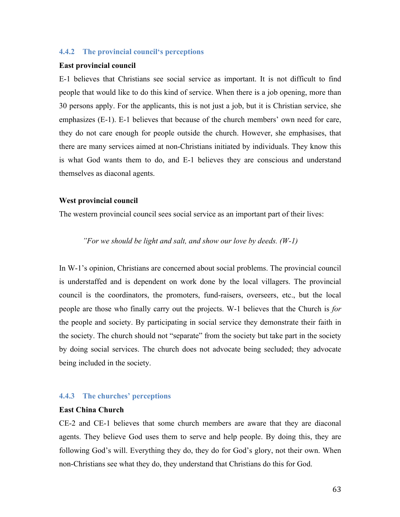#### **4.4.2 The provincial council's perceptions**

#### **East provincial council**

E-1 believes that Christians see social service as important. It is not difficult to find people that would like to do this kind of service. When there is a job opening, more than 30 persons apply. For the applicants, this is not just a job, but it is Christian service, she emphasizes (E-1). E-1 believes that because of the church members' own need for care, they do not care enough for people outside the church. However, she emphasises, that there are many services aimed at non-Christians initiated by individuals. They know this is what God wants them to do, and E-1 believes they are conscious and understand themselves as diaconal agents.

#### **West provincial council**

The western provincial council sees social service as an important part of their lives:

## *"For we should be light and salt, and show our love by deeds. (W-1)*

In W-1's opinion, Christians are concerned about social problems. The provincial council is understaffed and is dependent on work done by the local villagers. The provincial council is the coordinators, the promoters, fund-raisers, overseers, etc., but the local people are those who finally carry out the projects. W-1 believes that the Church is *for* the people and society. By participating in social service they demonstrate their faith in the society. The church should not "separate" from the society but take part in the society by doing social services. The church does not advocate being secluded; they advocate being included in the society.

#### **4.4.3 The churches' perceptions**

#### **East China Church**

CE-2 and CE-1 believes that some church members are aware that they are diaconal agents. They believe God uses them to serve and help people. By doing this, they are following God's will. Everything they do, they do for God's glory, not their own. When non-Christians see what they do, they understand that Christians do this for God.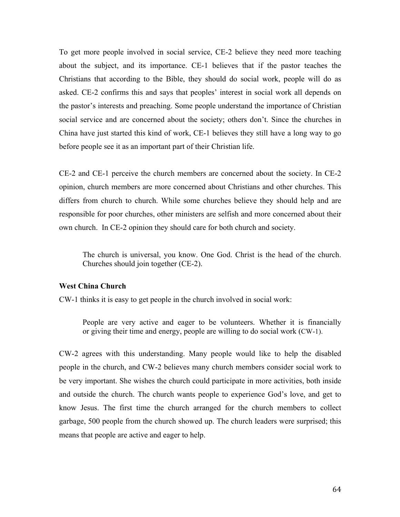To get more people involved in social service, CE-2 believe they need more teaching about the subject, and its importance. CE-1 believes that if the pastor teaches the Christians that according to the Bible, they should do social work, people will do as asked. CE-2 confirms this and says that peoples' interest in social work all depends on the pastor's interests and preaching. Some people understand the importance of Christian social service and are concerned about the society; others don't. Since the churches in China have just started this kind of work, CE-1 believes they still have a long way to go before people see it as an important part of their Christian life.

CE-2 and CE-1 perceive the church members are concerned about the society. In CE-2 opinion, church members are more concerned about Christians and other churches. This differs from church to church. While some churches believe they should help and are responsible for poor churches, other ministers are selfish and more concerned about their own church. In CE-2 opinion they should care for both church and society.

The church is universal, you know. One God. Christ is the head of the church. Churches should join together (CE-2).

#### **West China Church**

CW-1 thinks it is easy to get people in the church involved in social work:

People are very active and eager to be volunteers. Whether it is financially or giving their time and energy, people are willing to do social work (CW-1).

CW-2 agrees with this understanding. Many people would like to help the disabled people in the church, and CW-2 believes many church members consider social work to be very important. She wishes the church could participate in more activities, both inside and outside the church. The church wants people to experience God's love, and get to know Jesus. The first time the church arranged for the church members to collect garbage, 500 people from the church showed up. The church leaders were surprised; this means that people are active and eager to help.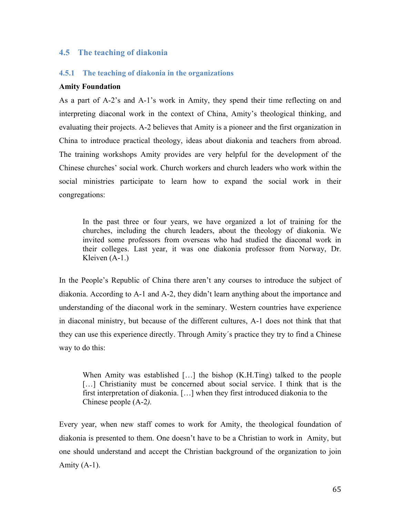## **4.5 The teaching of diakonia**

#### **4.5.1 The teaching of diakonia in the organizations**

#### **Amity Foundation**

As a part of A-2's and A-1's work in Amity, they spend their time reflecting on and interpreting diaconal work in the context of China, Amity's theological thinking, and evaluating their projects. A-2 believes that Amity is a pioneer and the first organization in China to introduce practical theology, ideas about diakonia and teachers from abroad. The training workshops Amity provides are very helpful for the development of the Chinese churches' social work. Church workers and church leaders who work within the social ministries participate to learn how to expand the social work in their congregations:

In the past three or four years, we have organized a lot of training for the churches, including the church leaders, about the theology of diakonia. We invited some professors from overseas who had studied the diaconal work in their colleges. Last year, it was one diakonia professor from Norway, Dr. Kleiven (A-1.)

In the People's Republic of China there aren't any courses to introduce the subject of diakonia. According to A-1 and A-2, they didn't learn anything about the importance and understanding of the diaconal work in the seminary. Western countries have experience in diaconal ministry, but because of the different cultures, A-1 does not think that that they can use this experience directly. Through Amity´s practice they try to find a Chinese way to do this:

When Amity was established [...] the bishop (K.H.Ting) talked to the people [...] Christianity must be concerned about social service. I think that is the first interpretation of diakonia. […] when they first introduced diakonia to the Chinese people (A-2*).*

Every year, when new staff comes to work for Amity, the theological foundation of diakonia is presented to them. One doesn't have to be a Christian to work in Amity, but one should understand and accept the Christian background of the organization to join Amity  $(A-1)$ .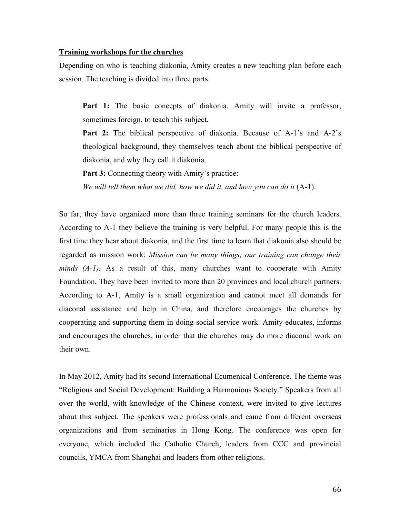#### **Training workshops for the churches**

Depending on who is teaching diakonia, Amity creates a new teaching plan before each session. The teaching is divided into three parts.

Part 1: The basic concepts of diakonia. Amity will invite a professor, sometimes foreign, to teach this subject.

**Part 2:** The biblical perspective of diakonia. Because of A-1's and A-2's theological background, they themselves teach about the biblical perspective of diakonia, and why they call it diakonia.

**Part 3:** Connecting theory with Amity's practice:

*We will tell them what we did, how we did it, and how you can do it* (A-1).

So far, they have organized more than three training seminars for the church leaders. According to A-1 they believe the training is very helpful. For many people this is the first time they hear about diakonia, and the first time to learn that diakonia also should be regarded as mission work: *Mission can be many things; our training can change their minds (A-1).* As a result of this, many churches want to cooperate with Amity Foundation. They have been invited to more than 20 provinces and local church partners. According to A-1, Amity is a small organization and cannot meet all demands for diaconal assistance and help in China, and therefore encourages the churches by cooperating and supporting them in doing social service work. Amity educates, informs and encourages the churches, in order that the churches may do more diaconal work on their own.

In May 2012, Amity had its second International Ecumenical Conference. The theme was "Religious and Social Development: Building a Harmonious Society." Speakers from all over the world, with knowledge of the Chinese context, were invited to give lectures about this subject. The speakers were professionals and came from different overseas organizations and from seminaries in Hong Kong. The conference was open for everyone, which included the Catholic Church, leaders from CCC and provincial councils, YMCA from Shanghai and leaders from other religions.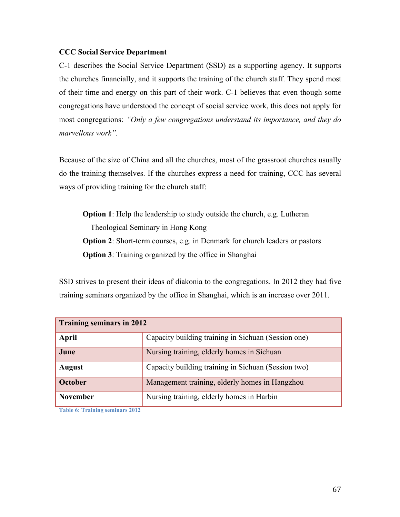## **CCC Social Service Department**

C-1 describes the Social Service Department (SSD) as a supporting agency. It supports the churches financially, and it supports the training of the church staff. They spend most of their time and energy on this part of their work. C-1 believes that even though some congregations have understood the concept of social service work, this does not apply for most congregations: *"Only a few congregations understand its importance, and they do marvellous work".* 

Because of the size of China and all the churches, most of the grassroot churches usually do the training themselves. If the churches express a need for training, CCC has several ways of providing training for the church staff:

**Option 1**: Help the leadership to study outside the church, e.g. Lutheran Theological Seminary in Hong Kong **Option 2**: Short-term courses, e.g. in Denmark for church leaders or pastors **Option 3**: Training organized by the office in Shanghai

SSD strives to present their ideas of diakonia to the congregations. In 2012 they had five training seminars organized by the office in Shanghai, which is an increase over 2011.

| <b>Training seminars in 2012</b> |                                                     |
|----------------------------------|-----------------------------------------------------|
| April                            | Capacity building training in Sichuan (Session one) |
| June                             | Nursing training, elderly homes in Sichuan          |
| <b>August</b>                    | Capacity building training in Sichuan (Session two) |
| <b>October</b>                   | Management training, elderly homes in Hangzhou      |
| <b>November</b>                  | Nursing training, elderly homes in Harbin           |

**Table 6: Training seminars 2012**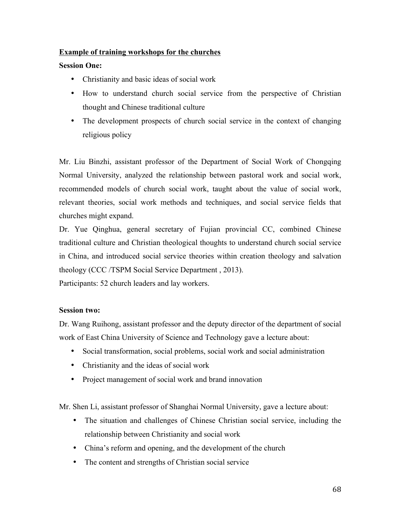## **Example of training workshops for the churches**

## **Session One:**

- Christianity and basic ideas of social work
- How to understand church social service from the perspective of Christian thought and Chinese traditional culture
- The development prospects of church social service in the context of changing religious policy

Mr. Liu Binzhi, assistant professor of the Department of Social Work of Chongqing Normal University, analyzed the relationship between pastoral work and social work, recommended models of church social work, taught about the value of social work, relevant theories, social work methods and techniques, and social service fields that churches might expand.

Dr. Yue Qinghua, general secretary of Fujian provincial CC, combined Chinese traditional culture and Christian theological thoughts to understand church social service in China, and introduced social service theories within creation theology and salvation theology (CCC /TSPM Social Service Department , 2013).

Participants: 52 church leaders and lay workers.

## **Session two:**

Dr. Wang Ruihong, assistant professor and the deputy director of the department of social work of East China University of Science and Technology gave a lecture about:

- Social transformation, social problems, social work and social administration
- Christianity and the ideas of social work
- Project management of social work and brand innovation

Mr. Shen Li, assistant professor of Shanghai Normal University, gave a lecture about:

- The situation and challenges of Chinese Christian social service, including the relationship between Christianity and social work
- China's reform and opening, and the development of the church
- The content and strengths of Christian social service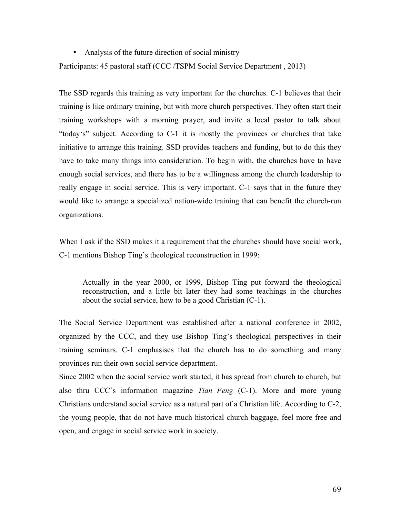• Analysis of the future direction of social ministry

Participants: 45 pastoral staff (CCC /TSPM Social Service Department , 2013)

The SSD regards this training as very important for the churches. C-1 believes that their training is like ordinary training, but with more church perspectives. They often start their training workshops with a morning prayer, and invite a local pastor to talk about "today's" subject. According to C-1 it is mostly the provinces or churches that take initiative to arrange this training. SSD provides teachers and funding, but to do this they have to take many things into consideration. To begin with, the churches have to have enough social services, and there has to be a willingness among the church leadership to really engage in social service. This is very important. C-1 says that in the future they would like to arrange a specialized nation-wide training that can benefit the church-run organizations.

When I ask if the SSD makes it a requirement that the churches should have social work, C-1 mentions Bishop Ting's theological reconstruction in 1999:

Actually in the year 2000, or 1999, Bishop Ting put forward the theological reconstruction, and a little bit later they had some teachings in the churches about the social service, how to be a good Christian (C-1).

The Social Service Department was established after a national conference in 2002, organized by the CCC, and they use Bishop Ting's theological perspectives in their training seminars. C-1 emphasises that the church has to do something and many provinces run their own social service department.

Since 2002 when the social service work started, it has spread from church to church, but also thru CCC´s information magazine *Tian Feng* (C-1). More and more young Christians understand social service as a natural part of a Christian life. According to C-2, the young people, that do not have much historical church baggage, feel more free and open, and engage in social service work in society.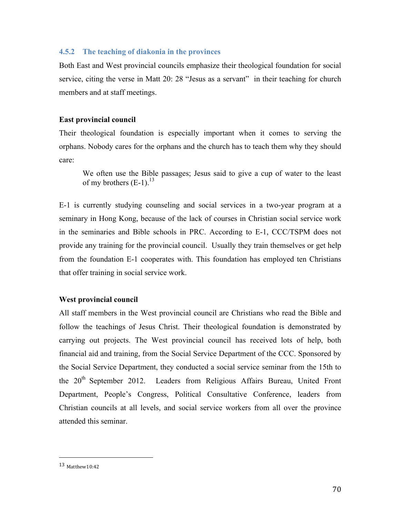#### **4.5.2 The teaching of diakonia in the provinces**

Both East and West provincial councils emphasize their theological foundation for social service, citing the verse in Matt 20: 28 "Jesus as a servant" in their teaching for church members and at staff meetings.

### **East provincial council**

Their theological foundation is especially important when it comes to serving the orphans. Nobody cares for the orphans and the church has to teach them why they should care:

We often use the Bible passages; Jesus said to give a cup of water to the least of my brothers  $(E-1)$ .<sup>13</sup>

E-1 is currently studying counseling and social services in a two-year program at a seminary in Hong Kong, because of the lack of courses in Christian social service work in the seminaries and Bible schools in PRC. According to E-1, CCC/TSPM does not provide any training for the provincial council. Usually they train themselves or get help from the foundation E-1 cooperates with. This foundation has employed ten Christians that offer training in social service work.

## **West provincial council**

All staff members in the West provincial council are Christians who read the Bible and follow the teachings of Jesus Christ. Their theological foundation is demonstrated by carrying out projects. The West provincial council has received lots of help, both financial aid and training, from the Social Service Department of the CCC. Sponsored by the Social Service Department, they conducted a social service seminar from the 15th to the 20<sup>th</sup> September 2012. Leaders from Religious Affairs Bureau, United Front Department, People's Congress, Political Consultative Conference, leaders from Christian councils at all levels, and social service workers from all over the province attended this seminar.

 

<sup>13</sup> Matthew10:42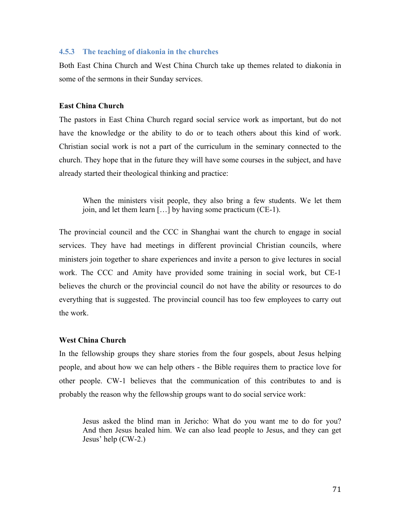#### **4.5.3 The teaching of diakonia in the churches**

Both East China Church and West China Church take up themes related to diakonia in some of the sermons in their Sunday services.

#### **East China Church**

The pastors in East China Church regard social service work as important, but do not have the knowledge or the ability to do or to teach others about this kind of work. Christian social work is not a part of the curriculum in the seminary connected to the church. They hope that in the future they will have some courses in the subject, and have already started their theological thinking and practice:

When the ministers visit people, they also bring a few students. We let them join, and let them learn […] by having some practicum (CE-1).

The provincial council and the CCC in Shanghai want the church to engage in social services. They have had meetings in different provincial Christian councils, where ministers join together to share experiences and invite a person to give lectures in social work. The CCC and Amity have provided some training in social work, but CE-1 believes the church or the provincial council do not have the ability or resources to do everything that is suggested. The provincial council has too few employees to carry out the work.

#### **West China Church**

In the fellowship groups they share stories from the four gospels, about Jesus helping people, and about how we can help others - the Bible requires them to practice love for other people. CW-1 believes that the communication of this contributes to and is probably the reason why the fellowship groups want to do social service work:

Jesus asked the blind man in Jericho: What do you want me to do for you? And then Jesus healed him. We can also lead people to Jesus, and they can get Jesus' help (CW-2.)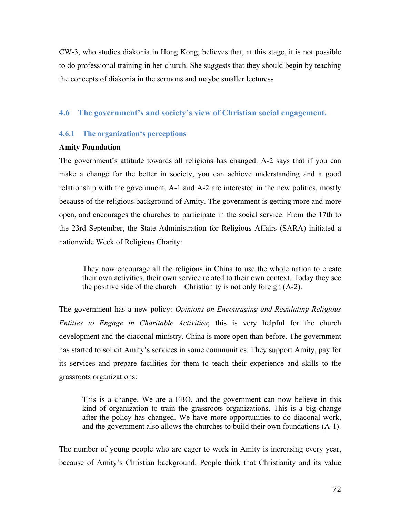CW-3, who studies diakonia in Hong Kong, believes that, at this stage, it is not possible to do professional training in her church. She suggests that they should begin by teaching the concepts of diakonia in the sermons and maybe smaller lectures.

## **4.6 The government's and society's view of Christian social engagement.**

## **4.6.1 The organization's perceptions**

#### **Amity Foundation**

The government's attitude towards all religions has changed. A-2 says that if you can make a change for the better in society, you can achieve understanding and a good relationship with the government. A-1 and A-2 are interested in the new politics, mostly because of the religious background of Amity. The government is getting more and more open, and encourages the churches to participate in the social service. From the 17th to the 23rd September, the State Administration for Religious Affairs (SARA) initiated a nationwide Week of Religious Charity:

They now encourage all the religions in China to use the whole nation to create their own activities, their own service related to their own context. Today they see the positive side of the church – Christianity is not only foreign (A-2).

The government has a new policy: *Opinions on Encouraging and Regulating Religious Entities to Engage in Charitable Activities*; this is very helpful for the church development and the diaconal ministry. China is more open than before. The government has started to solicit Amity's services in some communities. They support Amity, pay for its services and prepare facilities for them to teach their experience and skills to the grassroots organizations:

This is a change. We are a FBO, and the government can now believe in this kind of organization to train the grassroots organizations. This is a big change after the policy has changed. We have more opportunities to do diaconal work, and the government also allows the churches to build their own foundations (A-1).

The number of young people who are eager to work in Amity is increasing every year, because of Amity's Christian background. People think that Christianity and its value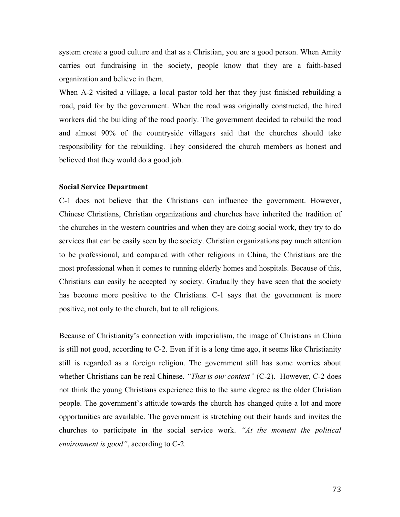system create a good culture and that as a Christian, you are a good person. When Amity carries out fundraising in the society, people know that they are a faith-based organization and believe in them.

When A-2 visited a village, a local pastor told her that they just finished rebuilding a road, paid for by the government. When the road was originally constructed, the hired workers did the building of the road poorly. The government decided to rebuild the road and almost 90% of the countryside villagers said that the churches should take responsibility for the rebuilding. They considered the church members as honest and believed that they would do a good job.

### **Social Service Department**

C-1 does not believe that the Christians can influence the government. However, Chinese Christians, Christian organizations and churches have inherited the tradition of the churches in the western countries and when they are doing social work, they try to do services that can be easily seen by the society. Christian organizations pay much attention to be professional, and compared with other religions in China, the Christians are the most professional when it comes to running elderly homes and hospitals. Because of this, Christians can easily be accepted by society. Gradually they have seen that the society has become more positive to the Christians. C-1 says that the government is more positive, not only to the church, but to all religions.

Because of Christianity's connection with imperialism, the image of Christians in China is still not good, according to C-2. Even if it is a long time ago, it seems like Christianity still is regarded as a foreign religion. The government still has some worries about whether Christians can be real Chinese. *"That is our context"* (C-2). However, C-2 does not think the young Christians experience this to the same degree as the older Christian people. The government's attitude towards the church has changed quite a lot and more opportunities are available. The government is stretching out their hands and invites the churches to participate in the social service work. *"At the moment the political environment is good"*, according to C-2.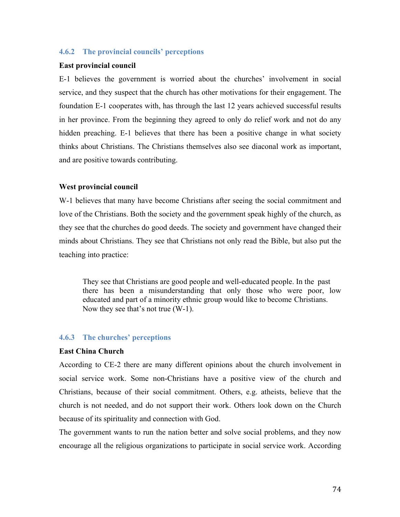## **4.6.2 The provincial councils' perceptions**

### **East provincial council**

E-1 believes the government is worried about the churches' involvement in social service, and they suspect that the church has other motivations for their engagement. The foundation E-1 cooperates with, has through the last 12 years achieved successful results in her province. From the beginning they agreed to only do relief work and not do any hidden preaching. E-1 believes that there has been a positive change in what society thinks about Christians. The Christians themselves also see diaconal work as important, and are positive towards contributing.

### **West provincial council**

W-1 believes that many have become Christians after seeing the social commitment and love of the Christians. Both the society and the government speak highly of the church, as they see that the churches do good deeds. The society and government have changed their minds about Christians. They see that Christians not only read the Bible, but also put the teaching into practice:

They see that Christians are good people and well-educated people. In the past there has been a misunderstanding that only those who were poor, low educated and part of a minority ethnic group would like to become Christians. Now they see that's not true (W-1).

### **4.6.3 The churches' perceptions**

### **East China Church**

According to CE-2 there are many different opinions about the church involvement in social service work. Some non-Christians have a positive view of the church and Christians, because of their social commitment. Others, e.g. atheists, believe that the church is not needed, and do not support their work. Others look down on the Church because of its spirituality and connection with God.

The government wants to run the nation better and solve social problems, and they now encourage all the religious organizations to participate in social service work. According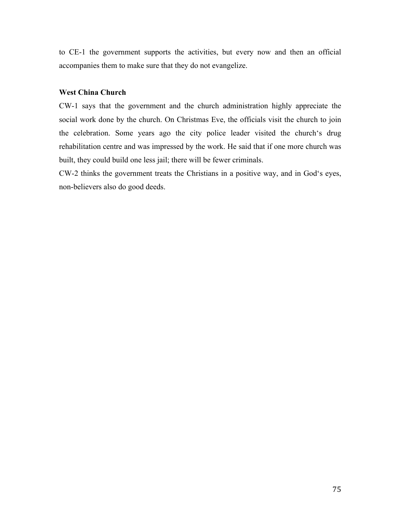to CE-1 the government supports the activities, but every now and then an official accompanies them to make sure that they do not evangelize.

### **West China Church**

CW-1 says that the government and the church administration highly appreciate the social work done by the church. On Christmas Eve, the officials visit the church to join the celebration. Some years ago the city police leader visited the church's drug rehabilitation centre and was impressed by the work. He said that if one more church was built, they could build one less jail; there will be fewer criminals.

CW-2 thinks the government treats the Christians in a positive way, and in God's eyes, non-believers also do good deeds.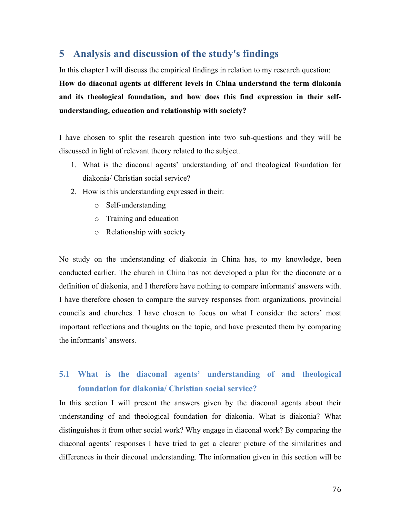# **5 Analysis and discussion of the study's findings**

In this chapter I will discuss the empirical findings in relation to my research question:

**How do diaconal agents at different levels in China understand the term diakonia and its theological foundation, and how does this find expression in their selfunderstanding, education and relationship with society?**

I have chosen to split the research question into two sub-questions and they will be discussed in light of relevant theory related to the subject.

- 1. What is the diaconal agents' understanding of and theological foundation for diakonia/ Christian social service?
- 2. How is this understanding expressed in their:
	- o Self-understanding
	- o Training and education
	- o Relationship with society

No study on the understanding of diakonia in China has, to my knowledge, been conducted earlier. The church in China has not developed a plan for the diaconate or a definition of diakonia, and I therefore have nothing to compare informants' answers with. I have therefore chosen to compare the survey responses from organizations, provincial councils and churches. I have chosen to focus on what I consider the actors' most important reflections and thoughts on the topic, and have presented them by comparing the informants' answers.

# **5.1 What is the diaconal agents' understanding of and theological foundation for diakonia/ Christian social service?**

In this section I will present the answers given by the diaconal agents about their understanding of and theological foundation for diakonia. What is diakonia? What distinguishes it from other social work? Why engage in diaconal work? By comparing the diaconal agents' responses I have tried to get a clearer picture of the similarities and differences in their diaconal understanding. The information given in this section will be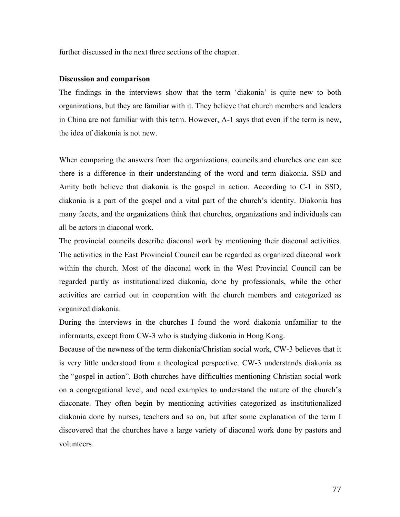further discussed in the next three sections of the chapter.

### **Discussion and comparison**

The findings in the interviews show that the term 'diakonia' is quite new to both organizations, but they are familiar with it. They believe that church members and leaders in China are not familiar with this term. However, A-1 says that even if the term is new, the idea of diakonia is not new.

When comparing the answers from the organizations, councils and churches one can see there is a difference in their understanding of the word and term diakonia. SSD and Amity both believe that diakonia is the gospel in action. According to C-1 in SSD, diakonia is a part of the gospel and a vital part of the church's identity. Diakonia has many facets, and the organizations think that churches, organizations and individuals can all be actors in diaconal work.

The provincial councils describe diaconal work by mentioning their diaconal activities. The activities in the East Provincial Council can be regarded as organized diaconal work within the church. Most of the diaconal work in the West Provincial Council can be regarded partly as institutionalized diakonia, done by professionals, while the other activities are carried out in cooperation with the church members and categorized as organized diakonia.

During the interviews in the churches I found the word diakonia unfamiliar to the informants, except from CW-3 who is studying diakonia in Hong Kong.

Because of the newness of the term diakonia/Christian social work, CW-3 believes that it is very little understood from a theological perspective. CW-3 understands diakonia as the "gospel in action". Both churches have difficulties mentioning Christian social work on a congregational level, and need examples to understand the nature of the church's diaconate. They often begin by mentioning activities categorized as institutionalized diakonia done by nurses, teachers and so on, but after some explanation of the term I discovered that the churches have a large variety of diaconal work done by pastors and volunteers.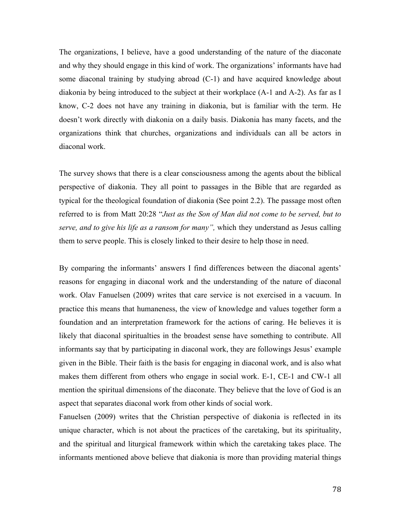The organizations, I believe, have a good understanding of the nature of the diaconate and why they should engage in this kind of work. The organizations' informants have had some diaconal training by studying abroad (C-1) and have acquired knowledge about diakonia by being introduced to the subject at their workplace (A-1 and A-2). As far as I know, C-2 does not have any training in diakonia, but is familiar with the term. He doesn't work directly with diakonia on a daily basis. Diakonia has many facets, and the organizations think that churches, organizations and individuals can all be actors in diaconal work.

The survey shows that there is a clear consciousness among the agents about the biblical perspective of diakonia. They all point to passages in the Bible that are regarded as typical for the theological foundation of diakonia (See point 2.2). The passage most often referred to is from Matt 20:28 "*Just as the Son of Man did not come to be served, but to serve, and to give his life as a ransom for many",* which they understand as Jesus calling them to serve people. This is closely linked to their desire to help those in need.

By comparing the informants' answers I find differences between the diaconal agents' reasons for engaging in diaconal work and the understanding of the nature of diaconal work. Olav Fanuelsen (2009) writes that care service is not exercised in a vacuum. In practice this means that humaneness, the view of knowledge and values together form a foundation and an interpretation framework for the actions of caring. He believes it is likely that diaconal spiritualties in the broadest sense have something to contribute. All informants say that by participating in diaconal work, they are followings Jesus' example given in the Bible. Their faith is the basis for engaging in diaconal work, and is also what makes them different from others who engage in social work. E-1, CE-1 and CW-1 all mention the spiritual dimensions of the diaconate. They believe that the love of God is an aspect that separates diaconal work from other kinds of social work.

Fanuelsen (2009) writes that the Christian perspective of diakonia is reflected in its unique character, which is not about the practices of the caretaking, but its spirituality, and the spiritual and liturgical framework within which the caretaking takes place. The informants mentioned above believe that diakonia is more than providing material things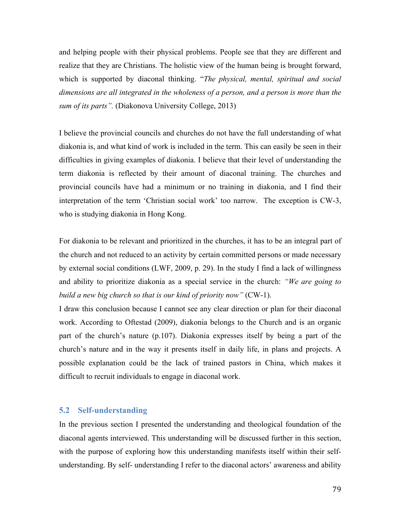and helping people with their physical problems. People see that they are different and realize that they are Christians. The holistic view of the human being is brought forward, which is supported by diaconal thinking. "*The physical, mental, spiritual and social dimensions are all integrated in the wholeness of a person, and a person is more than the sum of its parts".* (Diakonova University College, 2013)

I believe the provincial councils and churches do not have the full understanding of what diakonia is, and what kind of work is included in the term. This can easily be seen in their difficulties in giving examples of diakonia. I believe that their level of understanding the term diakonia is reflected by their amount of diaconal training. The churches and provincial councils have had a minimum or no training in diakonia, and I find their interpretation of the term 'Christian social work' too narrow. The exception is CW-3, who is studying diakonia in Hong Kong.

For diakonia to be relevant and prioritized in the churches, it has to be an integral part of the church and not reduced to an activity by certain committed persons or made necessary by external social conditions (LWF, 2009, p. 29). In the study I find a lack of willingness and ability to prioritize diakonia as a special service in the church: *"We are going to build a new big church so that is our kind of priority now"* (CW-1).

I draw this conclusion because I cannot see any clear direction or plan for their diaconal work. According to Oftestad (2009), diakonia belongs to the Church and is an organic part of the church's nature (p.107). Diakonia expresses itself by being a part of the church's nature and in the way it presents itself in daily life, in plans and projects. A possible explanation could be the lack of trained pastors in China, which makes it difficult to recruit individuals to engage in diaconal work.

### **5.2 Self-understanding**

In the previous section I presented the understanding and theological foundation of the diaconal agents interviewed. This understanding will be discussed further in this section, with the purpose of exploring how this understanding manifests itself within their selfunderstanding. By self- understanding I refer to the diaconal actors' awareness and ability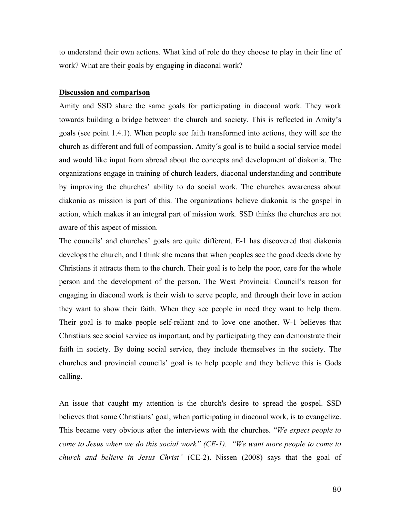to understand their own actions. What kind of role do they choose to play in their line of work? What are their goals by engaging in diaconal work?

### **Discussion and comparison**

Amity and SSD share the same goals for participating in diaconal work. They work towards building a bridge between the church and society. This is reflected in Amity's goals (see point 1.4.1). When people see faith transformed into actions, they will see the church as different and full of compassion. Amity´s goal is to build a social service model and would like input from abroad about the concepts and development of diakonia. The organizations engage in training of church leaders, diaconal understanding and contribute by improving the churches' ability to do social work. The churches awareness about diakonia as mission is part of this. The organizations believe diakonia is the gospel in action, which makes it an integral part of mission work. SSD thinks the churches are not aware of this aspect of mission.

The councils' and churches' goals are quite different. E-1 has discovered that diakonia develops the church, and I think she means that when peoples see the good deeds done by Christians it attracts them to the church. Their goal is to help the poor, care for the whole person and the development of the person. The West Provincial Council's reason for engaging in diaconal work is their wish to serve people, and through their love in action they want to show their faith. When they see people in need they want to help them. Their goal is to make people self-reliant and to love one another. W-1 believes that Christians see social service as important, and by participating they can demonstrate their faith in society. By doing social service, they include themselves in the society. The churches and provincial councils' goal is to help people and they believe this is Gods calling.

An issue that caught my attention is the church's desire to spread the gospel. SSD believes that some Christians' goal, when participating in diaconal work, is to evangelize. This became very obvious after the interviews with the churches. "*We expect people to come to Jesus when we do this social work" (CE-1). "We want more people to come to church and believe in Jesus Christ"* (CE-2). Nissen (2008) says that the goal of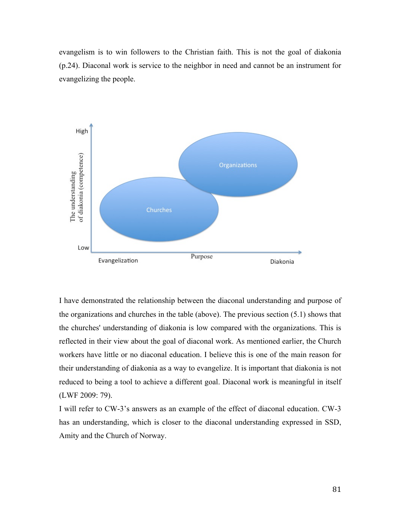evangelism is to win followers to the Christian faith. This is not the goal of diakonia (p.24). Diaconal work is service to the neighbor in need and cannot be an instrument for evangelizing the people.



I have demonstrated the relationship between the diaconal understanding and purpose of the organizations and churches in the table (above). The previous section (5.1) shows that the churches' understanding of diakonia is low compared with the organizations. This is reflected in their view about the goal of diaconal work. As mentioned earlier, the Church workers have little or no diaconal education. I believe this is one of the main reason for their understanding of diakonia as a way to evangelize. It is important that diakonia is not reduced to being a tool to achieve a different goal. Diaconal work is meaningful in itself (LWF 2009: 79).

I will refer to CW-3's answers as an example of the effect of diaconal education. CW-3 has an understanding, which is closer to the diaconal understanding expressed in SSD, Amity and the Church of Norway.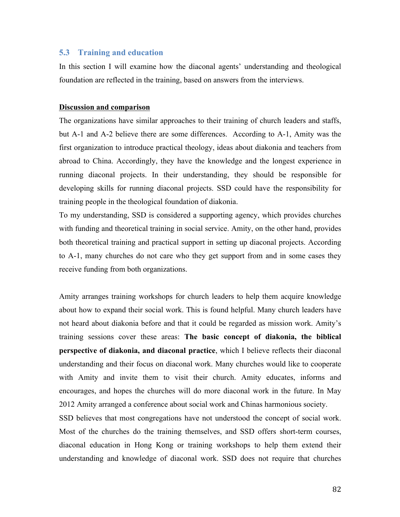### **5.3 Training and education**

In this section I will examine how the diaconal agents' understanding and theological foundation are reflected in the training, based on answers from the interviews.

### **Discussion and comparison**

The organizations have similar approaches to their training of church leaders and staffs, but A-1 and A-2 believe there are some differences. According to A-1, Amity was the first organization to introduce practical theology, ideas about diakonia and teachers from abroad to China. Accordingly, they have the knowledge and the longest experience in running diaconal projects. In their understanding, they should be responsible for developing skills for running diaconal projects. SSD could have the responsibility for training people in the theological foundation of diakonia.

To my understanding, SSD is considered a supporting agency, which provides churches with funding and theoretical training in social service. Amity, on the other hand, provides both theoretical training and practical support in setting up diaconal projects. According to A-1, many churches do not care who they get support from and in some cases they receive funding from both organizations.

Amity arranges training workshops for church leaders to help them acquire knowledge about how to expand their social work. This is found helpful. Many church leaders have not heard about diakonia before and that it could be regarded as mission work. Amity's training sessions cover these areas: **The basic concept of diakonia, the biblical perspective of diakonia, and diaconal practice**, which I believe reflects their diaconal understanding and their focus on diaconal work. Many churches would like to cooperate with Amity and invite them to visit their church. Amity educates, informs and encourages, and hopes the churches will do more diaconal work in the future. In May 2012 Amity arranged a conference about social work and Chinas harmonious society.

SSD believes that most congregations have not understood the concept of social work. Most of the churches do the training themselves, and SSD offers short-term courses, diaconal education in Hong Kong or training workshops to help them extend their understanding and knowledge of diaconal work. SSD does not require that churches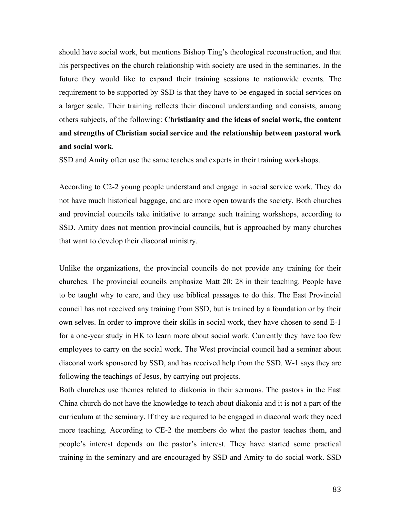should have social work, but mentions Bishop Ting's theological reconstruction, and that his perspectives on the church relationship with society are used in the seminaries. In the future they would like to expand their training sessions to nationwide events. The requirement to be supported by SSD is that they have to be engaged in social services on a larger scale. Their training reflects their diaconal understanding and consists, among others subjects, of the following: **Christianity and the ideas of social work, the content and strengths of Christian social service and the relationship between pastoral work and social work**.

SSD and Amity often use the same teaches and experts in their training workshops.

According to C2-2 young people understand and engage in social service work. They do not have much historical baggage, and are more open towards the society. Both churches and provincial councils take initiative to arrange such training workshops, according to SSD. Amity does not mention provincial councils, but is approached by many churches that want to develop their diaconal ministry.

Unlike the organizations, the provincial councils do not provide any training for their churches. The provincial councils emphasize Matt 20: 28 in their teaching. People have to be taught why to care, and they use biblical passages to do this. The East Provincial council has not received any training from SSD, but is trained by a foundation or by their own selves. In order to improve their skills in social work, they have chosen to send E-1 for a one-year study in HK to learn more about social work. Currently they have too few employees to carry on the social work. The West provincial council had a seminar about diaconal work sponsored by SSD, and has received help from the SSD. W-1 says they are following the teachings of Jesus, by carrying out projects.

Both churches use themes related to diakonia in their sermons. The pastors in the East China church do not have the knowledge to teach about diakonia and it is not a part of the curriculum at the seminary. If they are required to be engaged in diaconal work they need more teaching. According to CE-2 the members do what the pastor teaches them, and people's interest depends on the pastor's interest. They have started some practical training in the seminary and are encouraged by SSD and Amity to do social work. SSD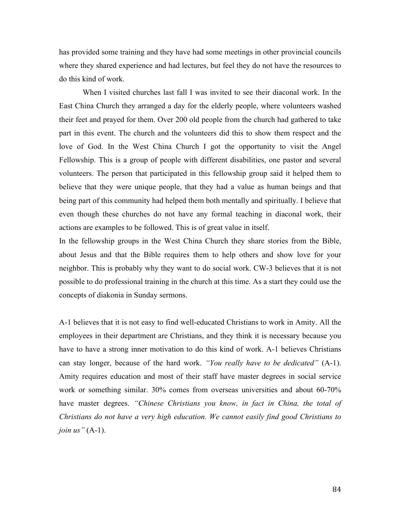has provided some training and they have had some meetings in other provincial councils where they shared experience and had lectures, but feel they do not have the resources to do this kind of work.

When I visited churches last fall I was invited to see their diaconal work. In the East China Church they arranged a day for the elderly people, where volunteers washed their feet and prayed for them. Over 200 old people from the church had gathered to take part in this event. The church and the volunteers did this to show them respect and the love of God. In the West China Church I got the opportunity to visit the Angel Fellowship. This is a group of people with different disabilities, one pastor and several volunteers. The person that participated in this fellowship group said it helped them to believe that they were unique people, that they had a value as human beings and that being part of this community had helped them both mentally and spiritually. I believe that even though these churches do not have any formal teaching in diaconal work, their actions are examples to be followed. This is of great value in itself.

In the fellowship groups in the West China Church they share stories from the Bible, about Jesus and that the Bible requires them to help others and show love for your neighbor. This is probably why they want to do social work. CW-3 believes that it is not possible to do professional training in the church at this time. As a start they could use the concepts of diakonia in Sunday sermons.

A-1 believes that it is not easy to find well-educated Christians to work in Amity. All the employees in their department are Christians, and they think it is necessary because you have to have a strong inner motivation to do this kind of work. A-1 believes Christians can stay longer, because of the hard work. *"You really have to be dedicated"* (A-1). Amity requires education and most of their staff have master degrees in social service work or something similar. 30% comes from overseas universities and about 60-70% have master degrees. *"Chinese Christians you know, in fact in China, the total of Christians do not have a very high education. We cannot easily find good Christians to join us"* (A-1).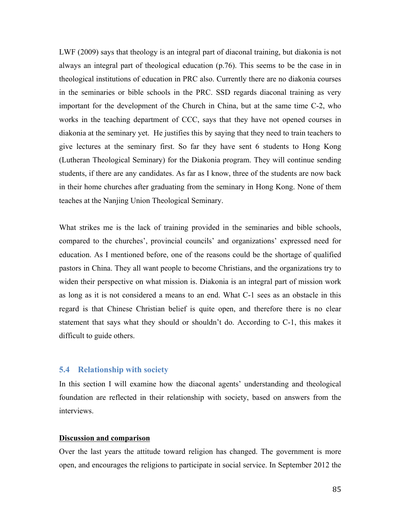LWF (2009) says that theology is an integral part of diaconal training, but diakonia is not always an integral part of theological education (p.76). This seems to be the case in in theological institutions of education in PRC also. Currently there are no diakonia courses in the seminaries or bible schools in the PRC. SSD regards diaconal training as very important for the development of the Church in China, but at the same time C-2, who works in the teaching department of CCC, says that they have not opened courses in diakonia at the seminary yet. He justifies this by saying that they need to train teachers to give lectures at the seminary first. So far they have sent 6 students to Hong Kong (Lutheran Theological Seminary) for the Diakonia program. They will continue sending students, if there are any candidates. As far as I know, three of the students are now back in their home churches after graduating from the seminary in Hong Kong. None of them teaches at the Nanjing Union Theological Seminary.

What strikes me is the lack of training provided in the seminaries and bible schools, compared to the churches', provincial councils' and organizations' expressed need for education. As I mentioned before, one of the reasons could be the shortage of qualified pastors in China. They all want people to become Christians, and the organizations try to widen their perspective on what mission is. Diakonia is an integral part of mission work as long as it is not considered a means to an end. What C-1 sees as an obstacle in this regard is that Chinese Christian belief is quite open, and therefore there is no clear statement that says what they should or shouldn't do. According to C-1, this makes it difficult to guide others.

### **5.4 Relationship with society**

In this section I will examine how the diaconal agents' understanding and theological foundation are reflected in their relationship with society, based on answers from the interviews.

### **Discussion and comparison**

Over the last years the attitude toward religion has changed. The government is more open, and encourages the religions to participate in social service. In September 2012 the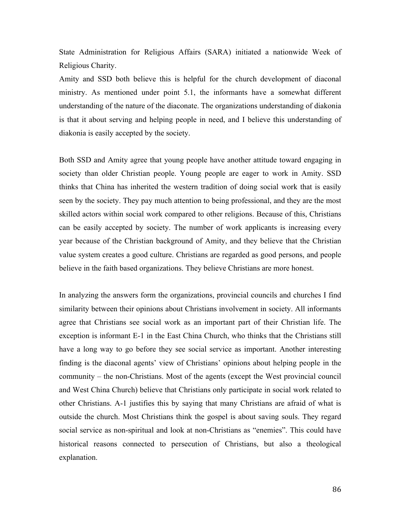State Administration for Religious Affairs (SARA) initiated a nationwide Week of Religious Charity.

Amity and SSD both believe this is helpful for the church development of diaconal ministry. As mentioned under point 5.1, the informants have a somewhat different understanding of the nature of the diaconate. The organizations understanding of diakonia is that it about serving and helping people in need, and I believe this understanding of diakonia is easily accepted by the society.

Both SSD and Amity agree that young people have another attitude toward engaging in society than older Christian people. Young people are eager to work in Amity. SSD thinks that China has inherited the western tradition of doing social work that is easily seen by the society. They pay much attention to being professional, and they are the most skilled actors within social work compared to other religions. Because of this, Christians can be easily accepted by society. The number of work applicants is increasing every year because of the Christian background of Amity, and they believe that the Christian value system creates a good culture. Christians are regarded as good persons, and people believe in the faith based organizations. They believe Christians are more honest.

In analyzing the answers form the organizations, provincial councils and churches I find similarity between their opinions about Christians involvement in society. All informants agree that Christians see social work as an important part of their Christian life. The exception is informant E-1 in the East China Church, who thinks that the Christians still have a long way to go before they see social service as important. Another interesting finding is the diaconal agents' view of Christians' opinions about helping people in the community – the non-Christians. Most of the agents (except the West provincial council and West China Church) believe that Christians only participate in social work related to other Christians. A-1 justifies this by saying that many Christians are afraid of what is outside the church. Most Christians think the gospel is about saving souls. They regard social service as non-spiritual and look at non-Christians as "enemies". This could have historical reasons connected to persecution of Christians, but also a theological explanation.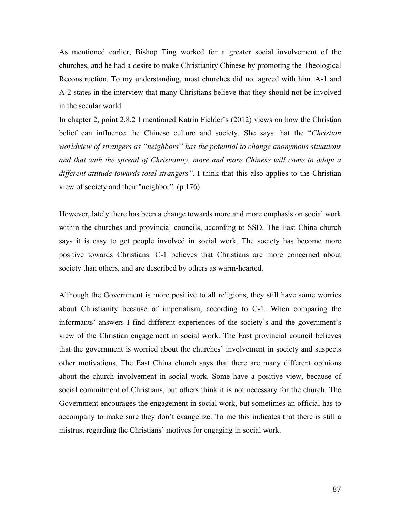As mentioned earlier, Bishop Ting worked for a greater social involvement of the churches, and he had a desire to make Christianity Chinese by promoting the Theological Reconstruction. To my understanding, most churches did not agreed with him. A-1 and A-2 states in the interview that many Christians believe that they should not be involved in the secular world.

In chapter 2, point 2.8.2 I mentioned Katrin Fielder's (2012) views on how the Christian belief can influence the Chinese culture and society. She says that the "*Christian worldview of strangers as "neighbors" has the potential to change anonymous situations and that with the spread of Christianity, more and more Chinese will come to adopt a different attitude towards total strangers".* I think that this also applies to the Christian view of society and their "neighbor". (p.176)

However, lately there has been a change towards more and more emphasis on social work within the churches and provincial councils, according to SSD. The East China church says it is easy to get people involved in social work. The society has become more positive towards Christians. C-1 believes that Christians are more concerned about society than others, and are described by others as warm-hearted.

Although the Government is more positive to all religions, they still have some worries about Christianity because of imperialism, according to C-1. When comparing the informants' answers I find different experiences of the society's and the government's view of the Christian engagement in social work. The East provincial council believes that the government is worried about the churches' involvement in society and suspects other motivations. The East China church says that there are many different opinions about the church involvement in social work. Some have a positive view, because of social commitment of Christians, but others think it is not necessary for the church. The Government encourages the engagement in social work, but sometimes an official has to accompany to make sure they don't evangelize. To me this indicates that there is still a mistrust regarding the Christians' motives for engaging in social work.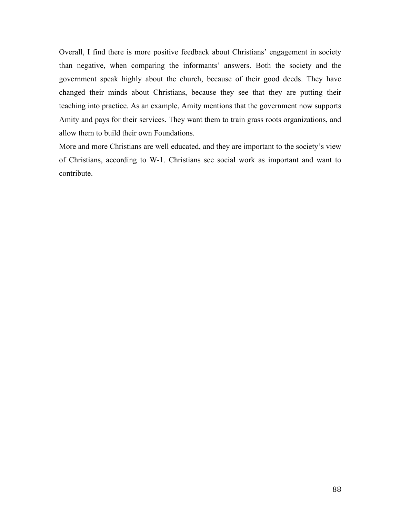Overall, I find there is more positive feedback about Christians' engagement in society than negative, when comparing the informants' answers. Both the society and the government speak highly about the church, because of their good deeds. They have changed their minds about Christians, because they see that they are putting their teaching into practice. As an example, Amity mentions that the government now supports Amity and pays for their services. They want them to train grass roots organizations, and allow them to build their own Foundations.

More and more Christians are well educated, and they are important to the society's view of Christians, according to W-1. Christians see social work as important and want to contribute.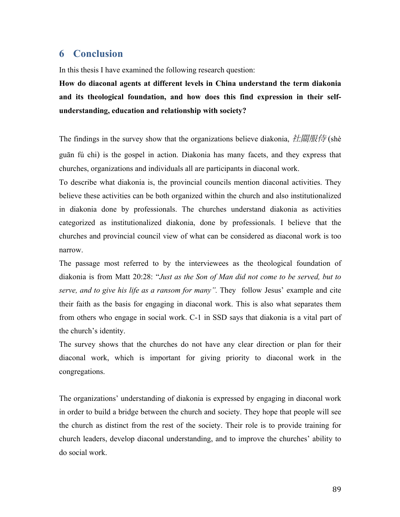# **6 Conclusion**

In this thesis I have examined the following research question:

**How do diaconal agents at different levels in China understand the term diakonia and its theological foundation, and how does this find expression in their selfunderstanding, education and relationship with society?**

The findings in the survey show that the organizations believe diakonia, 社關服侍 (shè guān fú chi) is the gospel in action. Diakonia has many facets, and they express that churches, organizations and individuals all are participants in diaconal work.

To describe what diakonia is, the provincial councils mention diaconal activities. They believe these activities can be both organized within the church and also institutionalized in diakonia done by professionals. The churches understand diakonia as activities categorized as institutionalized diakonia, done by professionals. I believe that the churches and provincial council view of what can be considered as diaconal work is too narrow.

The passage most referred to by the interviewees as the theological foundation of diakonia is from Matt 20:28: "*Just as the Son of Man did not come to be served, but to serve, and to give his life as a ransom for many".* They follow Jesus' example and cite their faith as the basis for engaging in diaconal work. This is also what separates them from others who engage in social work. C-1 in SSD says that diakonia is a vital part of the church's identity.

The survey shows that the churches do not have any clear direction or plan for their diaconal work, which is important for giving priority to diaconal work in the congregations.

The organizations' understanding of diakonia is expressed by engaging in diaconal work in order to build a bridge between the church and society. They hope that people will see the church as distinct from the rest of the society. Their role is to provide training for church leaders, develop diaconal understanding, and to improve the churches' ability to do social work.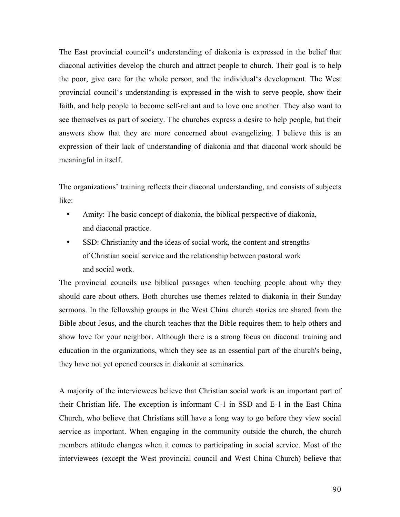The East provincial council's understanding of diakonia is expressed in the belief that diaconal activities develop the church and attract people to church. Their goal is to help the poor, give care for the whole person, and the individual's development. The West provincial council's understanding is expressed in the wish to serve people, show their faith, and help people to become self-reliant and to love one another. They also want to see themselves as part of society. The churches express a desire to help people, but their answers show that they are more concerned about evangelizing. I believe this is an expression of their lack of understanding of diakonia and that diaconal work should be meaningful in itself.

The organizations' training reflects their diaconal understanding, and consists of subjects like:

- Amity: The basic concept of diakonia, the biblical perspective of diakonia, and diaconal practice.
- SSD: Christianity and the ideas of social work, the content and strengths of Christian social service and the relationship between pastoral work and social work.

The provincial councils use biblical passages when teaching people about why they should care about others. Both churches use themes related to diakonia in their Sunday sermons. In the fellowship groups in the West China church stories are shared from the Bible about Jesus, and the church teaches that the Bible requires them to help others and show love for your neighbor. Although there is a strong focus on diaconal training and education in the organizations, which they see as an essential part of the church's being, they have not yet opened courses in diakonia at seminaries.

A majority of the interviewees believe that Christian social work is an important part of their Christian life. The exception is informant C-1 in SSD and E-1 in the East China Church, who believe that Christians still have a long way to go before they view social service as important. When engaging in the community outside the church, the church members attitude changes when it comes to participating in social service. Most of the interviewees (except the West provincial council and West China Church) believe that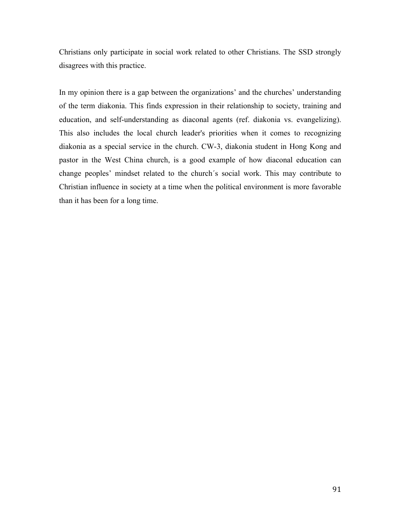Christians only participate in social work related to other Christians. The SSD strongly disagrees with this practice.

In my opinion there is a gap between the organizations' and the churches' understanding of the term diakonia. This finds expression in their relationship to society, training and education, and self-understanding as diaconal agents (ref. diakonia vs. evangelizing). This also includes the local church leader's priorities when it comes to recognizing diakonia as a special service in the church. CW-3, diakonia student in Hong Kong and pastor in the West China church, is a good example of how diaconal education can change peoples' mindset related to the church´s social work. This may contribute to Christian influence in society at a time when the political environment is more favorable than it has been for a long time.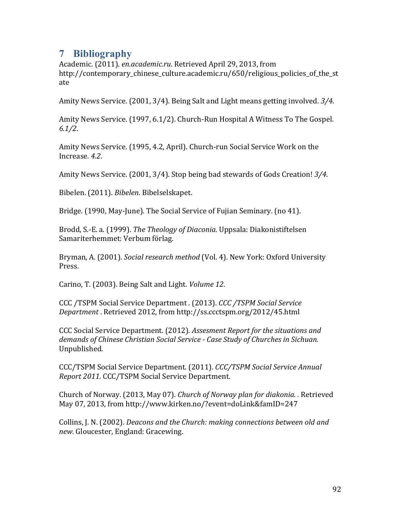# **7 Bibliography**

Academic. (2011). *en.academic.ru*. Retrieved April 29, 2013, from http://contemporary\_chinese\_culture.academic.ru/650/religious\_policies\_of\_the\_st ate

Amity News Service. (2001, 3/4). Being Salt and Light means getting involved. 3/4.

Amity News Service. (1997, 6.1/2). Church-Run Hospital A Witness To The Gospel. *6.1/2*.

Amity News Service. (1995, 4.2, April). Church-run Social Service Work on the Increase. *4.2*.

Amity News Service. (2001, 3/4). Stop being bad stewards of Gods Creation! 3/4.

Bibelen. (2011). *Bibelen.* Bibelselskapet.

Bridge. (1990, May-June). The Social Service of Fujian Seminary. (no 41).

Brodd, S.-E. a. (1999). *The Theology of Diaconia*. Uppsala: Diakonistiftelsen Samariterhemmet: Verbum förlag.

Bryman, A. (2001). *Social research method* (Vol. 4). New York: Oxford University Press.

Carino, T. (2003). Being Salt and Light. *Volume 12*.

CCC /TSPM Social Service Department . (2013). *CCC /TSPM Social Service Department* . Retrieved 2012, from http://ss.ccctspm.org/2012/45.html

CCC Social Service Department. (2012). *Assesment Report for the situations and* demands of Chinese Christian Social Service - Case Study of Churches in Sichuan. Unpublished.

CCC/TSPM Social Service Department. (2011). *CCC/TSPM Social Service Annual Report 2011.* CCC/TSPM Social Service Department.

Church of Norway. (2013, May 07). *Church of Norway plan for diakonia.* . Retrieved May 07, 2013, from http://www.kirken.no/?event=doLink&famID=247

Collins, J. N. (2002). *Deacons and the Church: making connections between old and new.* Gloucester, England: Gracewing.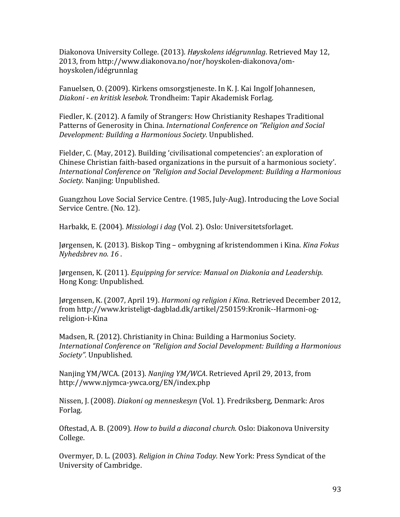Diakonova University College. (2013). *Høyskolens idégrunnlag*. Retrieved May 12, 2013, from http://www.diakonova.no/nor/hoyskolen-diakonova/omhoyskolen/idégrunnlag

Fanuelsen, O. (2009). Kirkens omsorgstjeneste. In K. J. Kai Ingolf Johannesen, *Diakoni - en kritisk lesebok.* Trondheim: Tapir Akademisk Forlag.

Fiedler, K. (2012). A family of Strangers: How Christianity Reshapes Traditional Patterns of Generosity in China. *International Conference on "Religion and Social Development: Building a Harmonious Society.* Unpublished.

Fielder, C. (May, 2012). Building 'civilisational competencies': an exploration of Chinese Christian faith-based organizations in the pursuit of a harmonious society'. *International Conference on "Religion and Social Development: Building a Harmonious Society.* Nanjing: Unpublished.

Guangzhou Love Social Service Centre. (1985, July-Aug). Introducing the Love Social Service Centre. (No. 12).

Harbakk, E. (2004). *Missiologi i dag* (Vol. 2). Oslo: Universitetsforlaget.

Jørgensen, K. (2013). Biskop Ting – ombygning af kristendommen i Kina. *Kina Fokus Nyhedsbrev no. 16* .

Jørgensen, K. (2011). *Equipping for service: Manual on Diakonia and Leadership.* Hong Kong: Unpublished.

Jørgensen, K. (2007, April 19). *Harmoni og religion i Kina*. Retrieved December 2012, from http://www.kristeligt-dagblad.dk/artikel/250159:Kronik--Harmoni-ogreligion-i-Kina

Madsen, R. (2012). Christianity in China: Building a Harmonius Society. *International Conference on "Religion and Social Development: Building a Harmonious Society".* Unpublished.

Nanjing YM/WCA. (2013). *Nanjing YM/WCA*. Retrieved April 29, 2013, from http://www.njymca-ywca.org/EN/index.php

Nissen, J. (2008). *Diakoni og menneskesyn* (Vol. 1). Fredriksberg, Denmark: Aros Forlag.

Oftestad, A. B. (2009). *How to build a diaconal church.* Oslo: Diakonova University College.

Overmyer, D. L. (2003). *Religion in China Today.* New York: Press Syndicat of the University of Cambridge.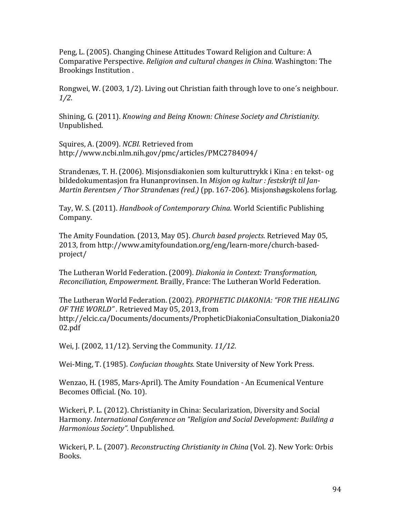Peng, L. (2005). Changing Chinese Attitudes Toward Religion and Culture: A Comparative Perspective. *Religion and cultural changes in China*. Washington: The Brookings Institution.

Rongwei, W. (2003, 1/2). Living out Christian faith through love to one's neighbour. *1/2*.

Shining, G. (2011). *Knowing and Being Known: Chinese Society and Christianity.* Unpublished.

Squires, A. (2009). *NCBI*. Retrieved from http://www.ncbi.nlm.nih.gov/pmc/articles/PMC2784094/

Strandenæs, T. H. (2006). Misjonsdiakonien som kulturuttrykk i Kina : en tekst- og bildedokumentasjon fra Hunanprovinsen. In *Misjon og kultur : festskrift til Jan-Martin Berentsen / Thor Strandenæs (red.)* (pp. 167-206). Misjonshøgskolens forlag.

Tay, W. S. (2011). *Handbook of Contemporary China.* World Scientific Publishing Company.

The Amity Foundation. (2013, May 05). *Church based projects*. Retrieved May 05, 2013, from http://www.amityfoundation.org/eng/learn-more/church-basedproject/

The Lutheran World Federation. (2009). *Diakonia in Context: Transformation*, *Reconciliation, Empowerment.* Brailly, France: The Lutheran World Federation.

The Lutheran World Federation. (2002). *PROPHETIC DIAKONIA:* "FOR THE HEALING OF THE WORLD". Retrieved May 05, 2013, from http://elcic.ca/Documents/documents/PropheticDiakoniaConsultation\_Diakonia20 02.pdf

Wei, J. (2002, 11/12). Serving the Community. 11/12.

Wei-Ming, T. (1985). *Confucian thoughts.* State University of New York Press.

Wenzao, H. (1985, Mars-April). The Amity Foundation - An Ecumenical Venture Becomes Official. (No. 10).

Wickeri, P. L. (2012). Christianity in China: Secularization, Diversity and Social Harmony. *International Conference on "Religion and Social Development: Building a Harmonious Society".* Unpublished.

Wickeri, P. L. (2007). *Reconstructing Christianity in China* (Vol. 2). New York: Orbis Books.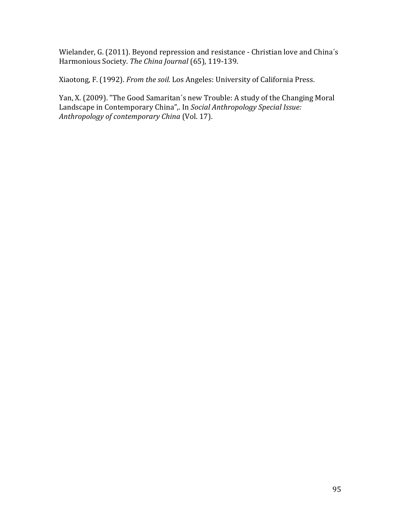Wielander, G. (2011). Beyond repression and resistance - Christian love and China's Harmonious Society. The China Journal (65), 119-139.

Xiaotong, F. (1992). *From the soil.* Los Angeles: University of California Press.

Yan, X. (2009). "The Good Samaritan's new Trouble: A study of the Changing Moral Landscape in Contemporary China",. In *Social Anthropology Special Issue:* Anthropology of contemporary China (Vol. 17).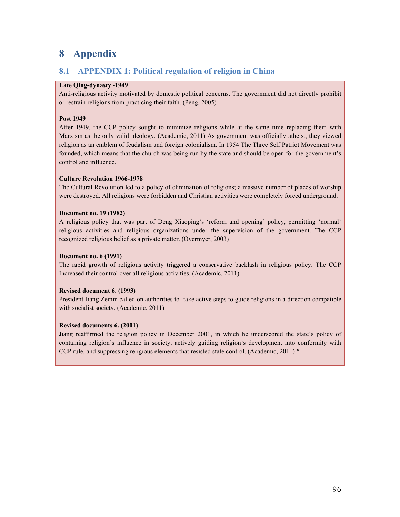# **8 Appendix**

## **8.1 APPENDIX 1: Political regulation of religion in China**

### **Late Qing-dynasty -1949**

Anti-religious activity motivated by domestic political concerns. The government did not directly prohibit or restrain religions from practicing their faith. (Peng, 2005)

### **Post 1949**

After 1949, the CCP policy sought to minimize religions while at the same time replacing them with Marxism as the only valid ideology. (Academic, 2011) As government was officially atheist, they viewed religion as an emblem of feudalism and foreign colonialism. In 1954 The Three Self Patriot Movement was founded, which means that the church was being run by the state and should be open for the government's control and influence.

### **Culture Revolution 1966-1978**

The Cultural Revolution led to a policy of elimination of religions; a massive number of places of worship were destroyed. All religions were forbidden and Christian activities were completely forced underground.

### **Document no. 19 (1982)**

A religious policy that was part of Deng Xiaoping's 'reform and opening' policy, permitting 'normal' religious activities and religious organizations under the supervision of the government. The CCP recognized religious belief as a private matter. (Overmyer, 2003)

### **Document no. 6 (1991)**

The rapid growth of religious activity triggered a conservative backlash in religious policy. The CCP Increased their control over all religious activities. (Academic, 2011)

### **Revised document 6. (1993)**

President Jiang Zemin called on authorities to 'take active steps to guide religions in a direction compatible with socialist society. (Academic, 2011)

### **Revised documents 6. (2001)**

Jiang reaffirmed the religion policy in December 2001, in which he underscored the state's policy of containing religion's influence in society, actively guiding religion's development into conformity with CCP rule, and suppressing religious elements that resisted state control. (Academic, 2011) \*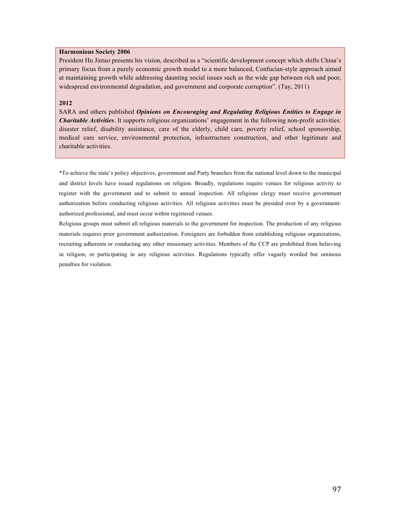#### **Harmonious Society 2006**

President Hu Jintao presents his vision, described as a "scientific development concept which shifts China's primary focus from a purely economic growth model to a more balanced, Confucian-style approach aimed at maintaining growth while addressing daunting social issues such as the wide gap between rich and poor, widespread environmental degradation, and government and corporate corruption". (Tay, 2011)

### **2012**

SARA and others published *Opinions on Encouraging and Regulating Religious Entities to Engage in Charitable Activities*. It supports religious organizations' engagement in the following non-profit activities: disaster relief, disability assistance, care of the elderly, child care, poverty relief, school sponsorship, medical care service, environmental protection, infrastructure construction, and other legitimate and charitable activities.

\*To achieve the state's policy objectives, government and Party branches from the national level down to the municipal and district levels have issued regulations on religion. Broadly, regulations require venues for religious activity to register with the government and to submit to annual inspection. All religious clergy must receive government authorization before conducting religious activities. All religious activities must be presided over by a governmentauthorized professional, and must occur within registered venues.

Religious groups must submit all religious materials to the government for inspection. The production of any religious materials requires prior government authorization. Foreigners are forbidden from establishing religious organizations, recruiting adherents or conducting any other missionary activities. Members of the CCP are prohibited from believing in religion, or participating in any religious activities. Regulations typically offer vaguely worded but ominous penalties for violation.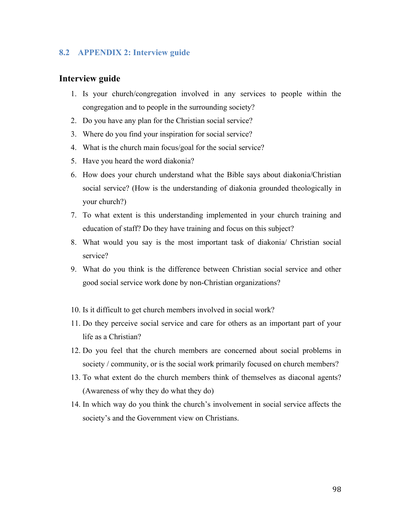## **8.2 APPENDIX 2: Interview guide**

## **Interview guide**

- 1. Is your church/congregation involved in any services to people within the congregation and to people in the surrounding society?
- 2. Do you have any plan for the Christian social service?
- 3. Where do you find your inspiration for social service?
- 4. What is the church main focus/goal for the social service?
- 5. Have you heard the word diakonia?
- 6. How does your church understand what the Bible says about diakonia/Christian social service? (How is the understanding of diakonia grounded theologically in your church?)
- 7. To what extent is this understanding implemented in your church training and education of staff? Do they have training and focus on this subject?
- 8. What would you say is the most important task of diakonia/ Christian social service?
- 9. What do you think is the difference between Christian social service and other good social service work done by non-Christian organizations?
- 10. Is it difficult to get church members involved in social work?
- 11. Do they perceive social service and care for others as an important part of your life as a Christian?
- 12. Do you feel that the church members are concerned about social problems in society / community, or is the social work primarily focused on church members?
- 13. To what extent do the church members think of themselves as diaconal agents? (Awareness of why they do what they do)
- 14. In which way do you think the church's involvement in social service affects the society's and the Government view on Christians.